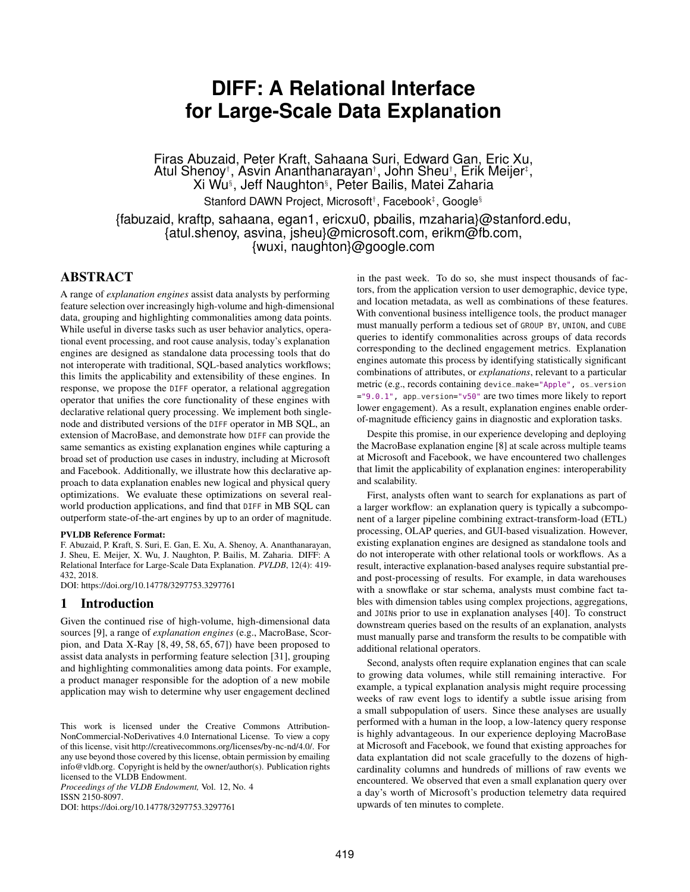# **DIFF: A Relational Interface for Large-Scale Data Explanation**

Firas Abuzaid, Peter Kraft, Sahaana Suri, Edward Gan, Eric Xu, Atul Shenoy†, Asvin Ananthanarayan‡, John Sheu‡, Erik Meijer‡, Xi Wu§ , Jeff Naughton§ , Peter Bailis, Matei Zaharia

Stanford DAWN Project, Microsoft<sup>†</sup>, Facebook<sup>‡</sup>, Google<sup>§</sup>

{fabuzaid, kraftp, sahaana, egan1, ericxu0, pbailis, mzaharia}@stanford.edu, {atul.shenoy, asvina, jsheu}@microsoft.com, erikm@fb.com, {wuxi, naughton}@google.com

# ABSTRACT

A range of *explanation engines* assist data analysts by performing feature selection over increasingly high-volume and high-dimensional data, grouping and highlighting commonalities among data points. While useful in diverse tasks such as user behavior analytics, operational event processing, and root cause analysis, today's explanation engines are designed as standalone data processing tools that do not interoperate with traditional, SQL-based analytics workflows; this limits the applicability and extensibility of these engines. In response, we propose the DIFF operator, a relational aggregation operator that unifies the core functionality of these engines with declarative relational query processing. We implement both singlenode and distributed versions of the DIFF operator in MB SQL, an extension of MacroBase, and demonstrate how DIFF can provide the same semantics as existing explanation engines while capturing a broad set of production use cases in industry, including at Microsoft and Facebook. Additionally, we illustrate how this declarative approach to data explanation enables new logical and physical query optimizations. We evaluate these optimizations on several realworld production applications, and find that DIFF in MB SQL can outperform state-of-the-art engines by up to an order of magnitude.

#### PVLDB Reference Format:

F. Abuzaid, P. Kraft, S. Suri, E. Gan, E. Xu, A. Shenoy, A. Ananthanarayan, J. Sheu, E. Meijer, X. Wu, J. Naughton, P. Bailis, M. Zaharia. DIFF: A Relational Interface for Large-Scale Data Explanation. *PVLDB*, 12(4): 419- 432, 2018.

DOI: https://doi.org/10.14778/3297753.3297761

# 1 Introduction

Given the continued rise of high-volume, high-dimensional data sources [\[9\]](#page-12-0), a range of *explanation engines* (e.g., MacroBase, Scorpion, and Data X-Ray [\[8,](#page-12-1) [49,](#page-13-0) [58,](#page-13-1) [65,](#page-13-2) [67\]](#page-13-3)) have been proposed to assist data analysts in performing feature selection [\[31\]](#page-12-2), grouping and highlighting commonalities among data points. For example, a product manager responsible for the adoption of a new mobile application may wish to determine why user engagement declined

*Proceedings of the VLDB Endowment,* Vol. 12, No. 4 ISSN 2150-8097.

DOI: https://doi.org/10.14778/3297753.3297761

in the past week. To do so, she must inspect thousands of factors, from the application version to user demographic, device type, and location metadata, as well as combinations of these features. With conventional business intelligence tools, the product manager must manually perform a tedious set of GROUP BY, UNION, and CUBE queries to identify commonalities across groups of data records corresponding to the declined engagement metrics. Explanation engines automate this process by identifying statistically significant combinations of attributes, or *explanations*, relevant to a particular metric (e.g., records containing device\_make="Apple", os\_version ="9.0.1", app\_version="v50" are two times more likely to report lower engagement). As a result, explanation engines enable orderof-magnitude efficiency gains in diagnostic and exploration tasks.

Despite this promise, in our experience developing and deploying the MacroBase explanation engine [\[8\]](#page-12-1) at scale across multiple teams at Microsoft and Facebook, we have encountered two challenges that limit the applicability of explanation engines: interoperability and scalability.

First, analysts often want to search for explanations as part of a larger workflow: an explanation query is typically a subcomponent of a larger pipeline combining extract-transform-load (ETL) processing, OLAP queries, and GUI-based visualization. However, existing explanation engines are designed as standalone tools and do not interoperate with other relational tools or workflows. As a result, interactive explanation-based analyses require substantial preand post-processing of results. For example, in data warehouses with a snowflake or star schema, analysts must combine fact tables with dimension tables using complex projections, aggregations, and JOINs prior to use in explanation analyses [\[40\]](#page-12-3). To construct downstream queries based on the results of an explanation, analysts must manually parse and transform the results to be compatible with additional relational operators.

Second, analysts often require explanation engines that can scale to growing data volumes, while still remaining interactive. For example, a typical explanation analysis might require processing weeks of raw event logs to identify a subtle issue arising from a small subpopulation of users. Since these analyses are usually performed with a human in the loop, a low-latency query response is highly advantageous. In our experience deploying MacroBase at Microsoft and Facebook, we found that existing approaches for data explantation did not scale gracefully to the dozens of highcardinality columns and hundreds of millions of raw events we encountered. We observed that even a small explanation query over a day's worth of Microsoft's production telemetry data required upwards of ten minutes to complete.

This work is licensed under the Creative Commons Attribution-NonCommercial-NoDerivatives 4.0 International License. To view a copy of this license, visit http://creativecommons.org/licenses/by-nc-nd/4.0/. For any use beyond those covered by this license, obtain permission by emailing info@vldb.org. Copyright is held by the owner/author(s). Publication rights licensed to the VLDB Endowment.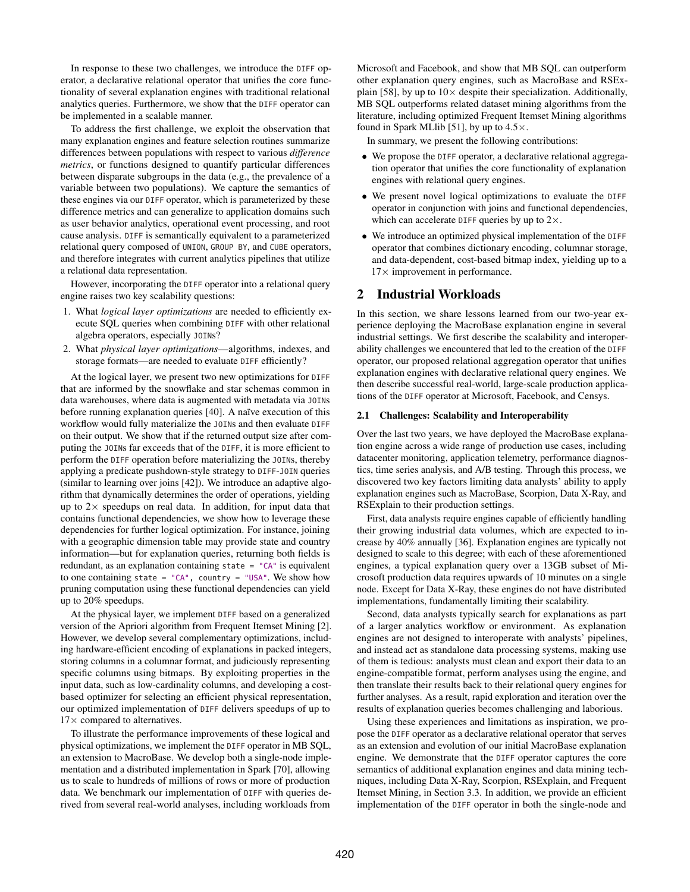In response to these two challenges, we introduce the DIFF operator, a declarative relational operator that unifies the core functionality of several explanation engines with traditional relational analytics queries. Furthermore, we show that the DIFF operator can be implemented in a scalable manner.

To address the first challenge, we exploit the observation that many explanation engines and feature selection routines summarize differences between populations with respect to various *difference metrics*, or functions designed to quantify particular differences between disparate subgroups in the data (e.g., the prevalence of a variable between two populations). We capture the semantics of these engines via our DIFF operator, which is parameterized by these difference metrics and can generalize to application domains such as user behavior analytics, operational event processing, and root cause analysis. DIFF is semantically equivalent to a parameterized relational query composed of UNION, GROUP BY, and CUBE operators, and therefore integrates with current analytics pipelines that utilize a relational data representation.

However, incorporating the DIFF operator into a relational query engine raises two key scalability questions:

- 1. What *logical layer optimizations* are needed to efficiently execute SQL queries when combining DIFF with other relational algebra operators, especially JOINs?
- 2. What *physical layer optimizations*—algorithms, indexes, and storage formats—are needed to evaluate DIFF efficiently?

At the logical layer, we present two new optimizations for DIFF that are informed by the snowflake and star schemas common in data warehouses, where data is augmented with metadata via JOINs before running explanation queries [\[40\]](#page-12-3). A naïve execution of this workflow would fully materialize the JOINs and then evaluate DIFF on their output. We show that if the returned output size after computing the JOINs far exceeds that of the DIFF, it is more efficient to perform the DIFF operation before materializing the JOINs, thereby applying a predicate pushdown-style strategy to DIFF-JOIN queries (similar to learning over joins [\[42\]](#page-12-4)). We introduce an adaptive algorithm that dynamically determines the order of operations, yielding up to  $2\times$  speedups on real data. In addition, for input data that contains functional dependencies, we show how to leverage these dependencies for further logical optimization. For instance, joining with a geographic dimension table may provide state and country information—but for explanation queries, returning both fields is redundant, as an explanation containing state = "CA" is equivalent to one containing state = "CA", country = "USA". We show how pruning computation using these functional dependencies can yield up to 20% speedups.

At the physical layer, we implement DIFF based on a generalized version of the Apriori algorithm from Frequent Itemset Mining [\[2\]](#page-12-5). However, we develop several complementary optimizations, including hardware-efficient encoding of explanations in packed integers, storing columns in a columnar format, and judiciously representing specific columns using bitmaps. By exploiting properties in the input data, such as low-cardinality columns, and developing a costbased optimizer for selecting an efficient physical representation, our optimized implementation of DIFF delivers speedups of up to  $17\times$  compared to alternatives.

To illustrate the performance improvements of these logical and physical optimizations, we implement the DIFF operator in MB SQL, an extension to MacroBase. We develop both a single-node implementation and a distributed implementation in Spark [\[70\]](#page-13-4), allowing us to scale to hundreds of millions of rows or more of production data. We benchmark our implementation of DIFF with queries derived from several real-world analyses, including workloads from Microsoft and Facebook, and show that MB SQL can outperform other explanation query engines, such as MacroBase and RSEx-plain [\[58\]](#page-13-1), by up to  $10\times$  despite their specialization. Additionally, MB SQL outperforms related dataset mining algorithms from the literature, including optimized Frequent Itemset Mining algorithms found in Spark MLIib [\[51\]](#page-13-5), by up to  $4.5 \times$ .

In summary, we present the following contributions:

- We propose the DIFF operator, a declarative relational aggregation operator that unifies the core functionality of explanation engines with relational query engines.
- We present novel logical optimizations to evaluate the DIFF operator in conjunction with joins and functional dependencies, which can accelerate DIFF queries by up to  $2\times$ .
- We introduce an optimized physical implementation of the DIFF operator that combines dictionary encoding, columnar storage, and data-dependent, cost-based bitmap index, yielding up to a  $17\times$  improvement in performance.

# 2 Industrial Workloads

In this section, we share lessons learned from our two-year experience deploying the MacroBase explanation engine in several industrial settings. We first describe the scalability and interoperability challenges we encountered that led to the creation of the DIFF operator, our proposed relational aggregation operator that unifies explanation engines with declarative relational query engines. We then describe successful real-world, large-scale production applications of the DIFF operator at Microsoft, Facebook, and Censys.

#### 2.1 Challenges: Scalability and Interoperability

Over the last two years, we have deployed the MacroBase explanation engine across a wide range of production use cases, including datacenter monitoring, application telemetry, performance diagnostics, time series analysis, and A/B testing. Through this process, we discovered two key factors limiting data analysts' ability to apply explanation engines such as MacroBase, Scorpion, Data X-Ray, and RSExplain to their production settings.

First, data analysts require engines capable of efficiently handling their growing industrial data volumes, which are expected to increase by 40% annually [\[36\]](#page-12-6). Explanation engines are typically not designed to scale to this degree; with each of these aforementioned engines, a typical explanation query over a 13GB subset of Microsoft production data requires upwards of 10 minutes on a single node. Except for Data X-Ray, these engines do not have distributed implementations, fundamentally limiting their scalability.

Second, data analysts typically search for explanations as part of a larger analytics workflow or environment. As explanation engines are not designed to interoperate with analysts' pipelines, and instead act as standalone data processing systems, making use of them is tedious: analysts must clean and export their data to an engine-compatible format, perform analyses using the engine, and then translate their results back to their relational query engines for further analyses. As a result, rapid exploration and iteration over the results of explanation queries becomes challenging and laborious.

Using these experiences and limitations as inspiration, we propose the DIFF operator as a declarative relational operator that serves as an extension and evolution of our initial MacroBase explanation engine. We demonstrate that the DIFF operator captures the core semantics of additional explanation engines and data mining techniques, including Data X-Ray, Scorpion, RSExplain, and Frequent Itemset Mining, in Section [3.3.](#page-4-0) In addition, we provide an efficient implementation of the DIFF operator in both the single-node and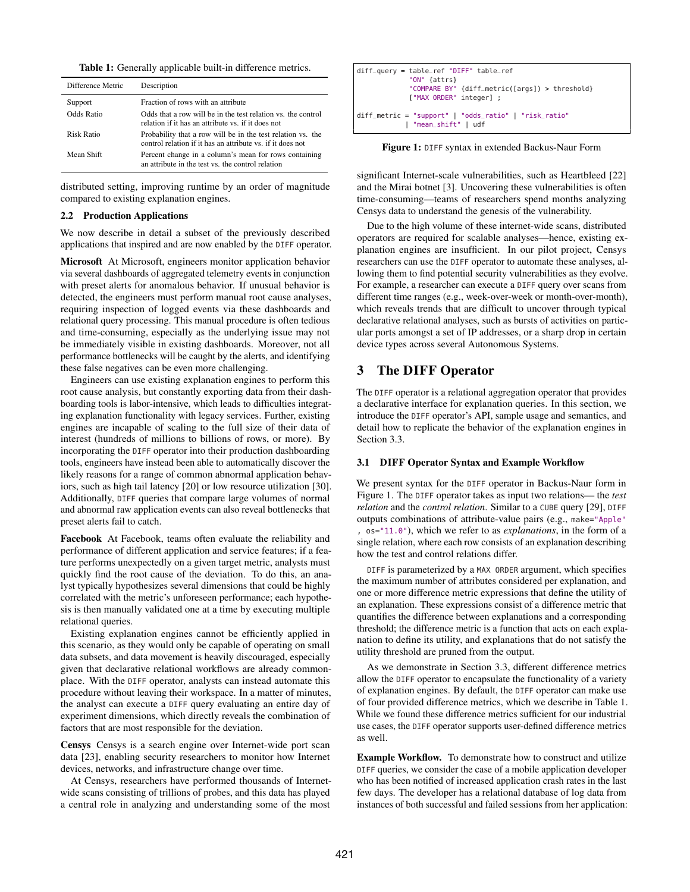<span id="page-2-1"></span>Table 1: Generally applicable built-in difference metrics.

| Difference Metric | Description                                                                                                               |
|-------------------|---------------------------------------------------------------------------------------------------------------------------|
| Support           | Fraction of rows with an attribute                                                                                        |
| Odds Ratio        | Odds that a row will be in the test relation vs. the control<br>relation if it has an attribute vs. if it does not        |
| Risk Ratio        | Probability that a row will be in the test relation vs. the<br>control relation if it has an attribute vs. if it does not |
| Mean Shift        | Percent change in a column's mean for rows containing<br>an attribute in the test vs. the control relation                |

distributed setting, improving runtime by an order of magnitude compared to existing explanation engines.

## 2.2 Production Applications

We now describe in detail a subset of the previously described applications that inspired and are now enabled by the DIFF operator.

Microsoft At Microsoft, engineers monitor application behavior via several dashboards of aggregated telemetry events in conjunction with preset alerts for anomalous behavior. If unusual behavior is detected, the engineers must perform manual root cause analyses, requiring inspection of logged events via these dashboards and relational query processing. This manual procedure is often tedious and time-consuming, especially as the underlying issue may not be immediately visible in existing dashboards. Moreover, not all performance bottlenecks will be caught by the alerts, and identifying these false negatives can be even more challenging.

Engineers can use existing explanation engines to perform this root cause analysis, but constantly exporting data from their dashboarding tools is labor-intensive, which leads to difficulties integrating explanation functionality with legacy services. Further, existing engines are incapable of scaling to the full size of their data of interest (hundreds of millions to billions of rows, or more). By incorporating the DIFF operator into their production dashboarding tools, engineers have instead been able to automatically discover the likely reasons for a range of common abnormal application behaviors, such as high tail latency [\[20\]](#page-12-7) or low resource utilization [\[30\]](#page-12-8). Additionally, DIFF queries that compare large volumes of normal and abnormal raw application events can also reveal bottlenecks that preset alerts fail to catch.

Facebook At Facebook, teams often evaluate the reliability and performance of different application and service features; if a feature performs unexpectedly on a given target metric, analysts must quickly find the root cause of the deviation. To do this, an analyst typically hypothesizes several dimensions that could be highly correlated with the metric's unforeseen performance; each hypothesis is then manually validated one at a time by executing multiple relational queries.

Existing explanation engines cannot be efficiently applied in this scenario, as they would only be capable of operating on small data subsets, and data movement is heavily discouraged, especially given that declarative relational workflows are already commonplace. With the DIFF operator, analysts can instead automate this procedure without leaving their workspace. In a matter of minutes, the analyst can execute a DIFF query evaluating an entire day of experiment dimensions, which directly reveals the combination of factors that are most responsible for the deviation.

Censys Censys is a search engine over Internet-wide port scan data [\[23\]](#page-12-9), enabling security researchers to monitor how Internet devices, networks, and infrastructure change over time.

At Censys, researchers have performed thousands of Internetwide scans consisting of trillions of probes, and this data has played a central role in analyzing and understanding some of the most

<span id="page-2-0"></span>

| $diff_{-}query = table_{-}ref$ "DIFF" table_ref                                  |
|----------------------------------------------------------------------------------|
| "ON" {attrs}                                                                     |
| "COMPARE BY" {diff_metric([args]) > threshold}                                   |
| ["MAX ORDER" integer];                                                           |
| $diff_metric = "support"   "odds_rratio"   "risk_ratio"$<br>  "mean_shift"   udf |

Figure 1: DIFF syntax in extended Backus-Naur Form

significant Internet-scale vulnerabilities, such as Heartbleed [\[22\]](#page-12-10) and the Mirai botnet [\[3\]](#page-12-11). Uncovering these vulnerabilities is often time-consuming—teams of researchers spend months analyzing Censys data to understand the genesis of the vulnerability.

Due to the high volume of these internet-wide scans, distributed operators are required for scalable analyses—hence, existing explanation engines are insufficient. In our pilot project, Censys researchers can use the DIFF operator to automate these analyses, allowing them to find potential security vulnerabilities as they evolve. For example, a researcher can execute a DIFF query over scans from different time ranges (e.g., week-over-week or month-over-month), which reveals trends that are difficult to uncover through typical declarative relational analyses, such as bursts of activities on particular ports amongst a set of IP addresses, or a sharp drop in certain device types across several Autonomous Systems.

# <span id="page-2-2"></span>3 The DIFF Operator

The DIFF operator is a relational aggregation operator that provides a declarative interface for explanation queries. In this section, we introduce the DIFF operator's API, sample usage and semantics, and detail how to replicate the behavior of the explanation engines in Section [3.3.](#page-4-0)

## 3.1 DIFF Operator Syntax and Example Workflow

We present syntax for the DIFF operator in Backus-Naur form in Figure [1.](#page-2-0) The DIFF operator takes as input two relations— the *test relation* and the *control relation*. Similar to a CUBE query [\[29\]](#page-12-12), DIFF outputs combinations of attribute-value pairs (e.g., make="Apple" , os="11.0"), which we refer to as *explanations*, in the form of a single relation, where each row consists of an explanation describing how the test and control relations differ.

DIFF is parameterized by a MAX ORDER argument, which specifies the maximum number of attributes considered per explanation, and one or more difference metric expressions that define the utility of an explanation. These expressions consist of a difference metric that quantifies the difference between explanations and a corresponding threshold; the difference metric is a function that acts on each explanation to define its utility, and explanations that do not satisfy the utility threshold are pruned from the output.

As we demonstrate in Section [3.3,](#page-4-0) different difference metrics allow the DIFF operator to encapsulate the functionality of a variety of explanation engines. By default, the DIFF operator can make use of four provided difference metrics, which we describe in Table [1.](#page-2-1) While we found these difference metrics sufficient for our industrial use cases, the DIFF operator supports user-defined difference metrics as well.

Example Workflow. To demonstrate how to construct and utilize DIFF queries, we consider the case of a mobile application developer who has been notified of increased application crash rates in the last few days. The developer has a relational database of log data from instances of both successful and failed sessions from her application: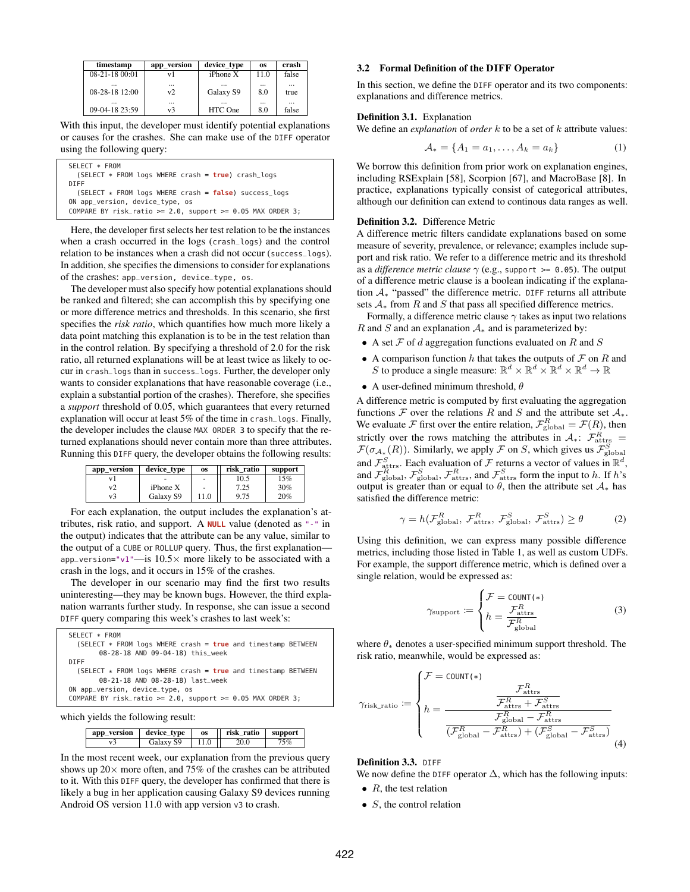| timestamp      | app_version | device_type   | <b>OS</b> | crash    |
|----------------|-------------|---------------|-----------|----------|
| 08-21-18 00:01 | v1          | $iP$ hone $X$ | 11.0      | false    |
|                | $\cdots$    |               | $\cdots$  | $\cdots$ |
| 08-28-18 12:00 | v2          | Galaxy S9     | 8.0       | true     |
|                | $\cdots$    |               |           | $\cdots$ |
| 09-04-18 23:59 | v3          | HTC One       | 8.0       | false    |

With this input, the developer must identify potential explanations or causes for the crashes. She can make use of the DIFF operator using the following query:

| SELECT * FROM                                                   |
|-----------------------------------------------------------------|
| $(SELECT * FROM logs WHERE crash = true) crash_loss$            |
| <b>DIFF</b>                                                     |
| (SELECT $*$ FROM logs WHERE crash = $false$ ) success_logs      |
| ON app_version, device_type, os                                 |
| COMPARE BY risk_ratio >= $2.0$ , support >= $0.05$ MAX ORDER 3; |

Here, the developer first selects her test relation to be the instances when a crash occurred in the logs (crash\_logs) and the control relation to be instances when a crash did not occur (success\_logs). In addition, she specifies the dimensions to consider for explanations of the crashes: app\_version, device\_type, os.

The developer must also specify how potential explanations should be ranked and filtered; she can accomplish this by specifying one or more difference metrics and thresholds. In this scenario, she first specifies the *risk ratio*, which quantifies how much more likely a data point matching this explanation is to be in the test relation than in the control relation. By specifying a threshold of 2.0 for the risk ratio, all returned explanations will be at least twice as likely to occur in crash\_logs than in success\_logs. Further, the developer only wants to consider explanations that have reasonable coverage (i.e., explain a substantial portion of the crashes). Therefore, she specifies a *support* threshold of 0.05, which guarantees that every returned explanation will occur at least 5% of the time in crash\_logs. Finally, the developer includes the clause MAX ORDER 3 to specify that the returned explanations should never contain more than three attributes. Running this DIFF query, the developer obtains the following results:

| app_version | device_type   | OS.  | risk ratio | support |
|-------------|---------------|------|------------|---------|
|             |               | ۰    | 10.5       | 15%     |
|             | $i$ Phone $X$ | ٠    | 7.25       | $30\%$  |
| v3          | Galaxy S9     | 11.0 | 9.75       | 20%     |

For each explanation, the output includes the explanation's attributes, risk ratio, and support. A **NULL** value (denoted as "-" in the output) indicates that the attribute can be any value, similar to the output of a CUBE or ROLLUP query. Thus, the first explanation app\_version="v1"—is  $10.5\times$  more likely to be associated with a crash in the logs, and it occurs in 15% of the crashes.

The developer in our scenario may find the first two results uninteresting—they may be known bugs. However, the third explanation warrants further study. In response, she can issue a second DIFF query comparing this week's crashes to last week's:

| SELECT * FROM                                                    |  |
|------------------------------------------------------------------|--|
| (SELECT * FROM logs WHERE crash = true and timestamp BETWEEN     |  |
| 08-28-18 AND 09-04-18) this_week                                 |  |
| DIFF                                                             |  |
| (SELECT $*$ FROM logs WHERE crash = $true$ and timestamp BETWEEN |  |
| 08-21-18 AND 08-28-18) last week                                 |  |
| ON app_version, device_type, os                                  |  |
| COMPARE BY risk_ratio >= $2.0$ , support >= $0.05$ MAX ORDER 3;  |  |
|                                                                  |  |

which yields the following result:

| app version | device type | <b>OS</b> | risk ratio | support |
|-------------|-------------|-----------|------------|---------|
|             | Galaxy S9   |           |            |         |

In the most recent week, our explanation from the previous query shows up  $20 \times$  more often, and 75% of the crashes can be attributed to it. With this DIFF query, the developer has confirmed that there is likely a bug in her application causing Galaxy S9 devices running Android OS version 11.0 with app version v3 to crash.

## <span id="page-3-0"></span>3.2 Formal Definition of the DIFF Operator

In this section, we define the DIFF operator and its two components: explanations and difference metrics.

#### Definition 3.1. Explanation

We define an *explanation* of *order* k to be a set of k attribute values:

$$
\mathcal{A}_* = \{A_1 = a_1, \dots, A_k = a_k\} \tag{1}
$$

We borrow this definition from prior work on explanation engines, including RSExplain [\[58\]](#page-13-1), Scorpion [\[67\]](#page-13-3), and MacroBase [\[8\]](#page-12-1). In practice, explanations typically consist of categorical attributes, although our definition can extend to continous data ranges as well.

### Definition 3.2. Difference Metric

A difference metric filters candidate explanations based on some measure of severity, prevalence, or relevance; examples include support and risk ratio. We refer to a difference metric and its threshold as a *difference metric clause*  $\gamma$  (e.g., support > = 0.05). The output of a difference metric clause is a boolean indicating if the explanation A<sup>∗</sup> "passed" the difference metric. DIFF returns all attribute sets  $A_*$  from R and S that pass all specified difference metrics.

Formally, a difference metric clause  $\gamma$  takes as input two relations R and S and an explanation  $A_*$  and is parameterized by:

- A set  $\mathcal F$  of d aggregation functions evaluated on R and S
- A comparison function h that takes the outputs of  $\mathcal F$  on R and S to produce a single measure:  $\mathbb{R}^d \times \mathbb{R}^d \times \mathbb{R}^d \times \mathbb{R}^d \to \mathbb{R}$
- A user-defined minimum threshold,  $\theta$

A difference metric is computed by first evaluating the aggregation functions F over the relations R and S and the attribute set  $A_*$ . We evaluate F first over the entire relation,  $\mathcal{F}_{\text{global}}^R = \mathcal{F}(R)$ , then strictly over the rows matching the attributes in  $A_*$ :  $\mathcal{F}^R_{\text{attrs}}$  =  $\mathcal{F}(\sigma_{A_*}(R))$ . Similarly, we apply  $\mathcal F$  on  $S$ , which gives us  $\mathcal{F}_{\text{global}}^S$ and  $\mathcal{F}_{\text{attrs}}^S$ . Each evaluation of  $\mathcal F$  returns a vector of values in  $\mathbb R^d$ , and  $\mathcal{F}_{\text{global}}^R$ ,  $\mathcal{F}_{\text{global}}^S$ ,  $\mathcal{F}_{\text{attrs}}^R$ , and  $\mathcal{F}_{\text{attrs}}^S$  form the input to h. If h's output is greater than or equal to  $\theta$ , then the attribute set  $\mathcal{A}_*$  has satisfied the difference metric:

$$
\gamma = h(\mathcal{F}_{\text{global}}^R, \mathcal{F}_{\text{attrs}}^R, \mathcal{F}_{\text{global}}^S, \mathcal{F}_{\text{attrs}}^S) \ge \theta \tag{2}
$$

Using this definition, we can express many possible difference metrics, including those listed in Table [1,](#page-2-1) as well as custom UDFs. For example, the support difference metric, which is defined over a single relation, would be expressed as:

$$
\gamma_{\text{support}} \coloneqq \begin{cases} \mathcal{F} = \text{COUNT} (*) \\ h = \frac{\mathcal{F}_{\text{attrs}}^R}{\mathcal{F}_{\text{global}}^R} \end{cases} \tag{3}
$$

where  $\theta_*$  denotes a user-specified minimum support threshold. The risk ratio, meanwhile, would be expressed as:

$$
\gamma_{\text{risk\_ratio}} := \begin{cases}\n\mathcal{F} = \text{COUNT} (*) & \mathcal{F}_{\text{attrs}}^R \\
h = \frac{\mathcal{F}_{\text{attrs}}^R + \mathcal{F}_{\text{attrs}}^S}{\mathcal{F}_{\text{global}}^R - \mathcal{F}_{\text{attrs}}^R} \\
\frac{\mathcal{F}_{\text{global}}^R - \mathcal{F}_{\text{attrs}}^R}{(\mathcal{F}_{\text{global}}^R - \mathcal{F}_{\text{attrs}}^R) + (\mathcal{F}_{\text{global}}^S - \mathcal{F}_{\text{attrs}}^S)}\n\end{cases} (4)
$$

## Definition 3.3. DIFF

We now define the DIFF operator  $\Delta$ , which has the following inputs:

- $R$ , the test relation
- $S$ , the control relation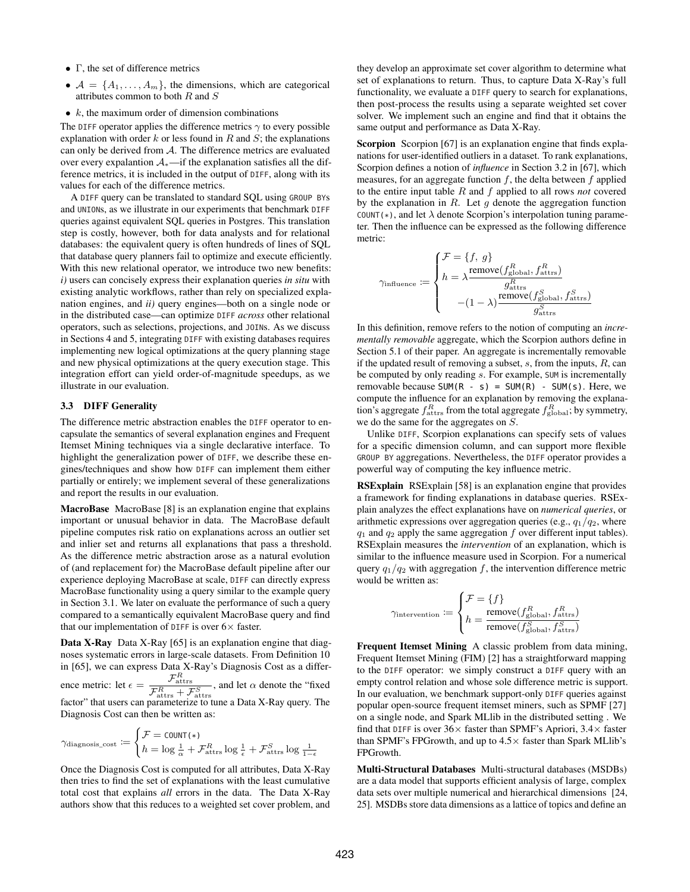- $\bullet$  Γ, the set of difference metrics
- $A = \{A_1, \ldots, A_m\}$ , the dimensions, which are categorical attributes common to both  $R$  and  $S$
- $\bullet$  k, the maximum order of dimension combinations

The DIFF operator applies the difference metrics  $\gamma$  to every possible explanation with order k or less found in R and  $S$ ; the explanations can only be derived from A. The difference metrics are evaluated over every expalantion A∗—if the explanation satisfies all the difference metrics, it is included in the output of DIFF, along with its values for each of the difference metrics.

A DIFF query can be translated to standard SQL using GROUP BYs and UNIONs, as we illustrate in our experiments that benchmark DIFF queries against equivalent SQL queries in Postgres. This translation step is costly, however, both for data analysts and for relational databases: the equivalent query is often hundreds of lines of SQL that database query planners fail to optimize and execute efficiently. With this new relational operator, we introduce two new benefits: *i)* users can concisely express their explanation queries *in situ* with existing analytic workflows, rather than rely on specialized explanation engines, and *ii)* query engines—both on a single node or in the distributed case—can optimize DIFF *across* other relational operators, such as selections, projections, and JOINs. As we discuss in Sections [4](#page-5-0) and [5,](#page-6-0) integrating DIFF with existing databases requires implementing new logical optimizations at the query planning stage and new physical optimizations at the query execution stage. This integration effort can yield order-of-magnitude speedups, as we illustrate in our evaluation.

#### <span id="page-4-0"></span>3.3 DIFF Generality

The difference metric abstraction enables the DIFF operator to encapsulate the semantics of several explanation engines and Frequent Itemset Mining techniques via a single declarative interface. To highlight the generalization power of DIFF, we describe these engines/techniques and show how DIFF can implement them either partially or entirely; we implement several of these generalizations and report the results in our evaluation.

MacroBase MacroBase [\[8\]](#page-12-1) is an explanation engine that explains important or unusual behavior in data. The MacroBase default pipeline computes risk ratio on explanations across an outlier set and inlier set and returns all explanations that pass a threshold. As the difference metric abstraction arose as a natural evolution of (and replacement for) the MacroBase default pipeline after our experience deploying MacroBase at scale, DIFF can directly express MacroBase functionality using a query similar to the example query in Section [3.1.](#page-2-0) We later on evaluate the performance of such a query compared to a semantically equivalent MacroBase query and find that our implementation of DIFF is over  $6 \times$  faster.

Data X-Ray Data X-Ray [\[65\]](#page-13-2) is an explanation engine that diagnoses systematic errors in large-scale datasets. From Definition 10 in [\[65\]](#page-13-2), we can express Data X-Ray's Diagnosis Cost as a difference metric: let  $\epsilon = \frac{\mathcal{F}_{\text{attrs}}^R}{\mathcal{F}_{\text{attrs}}^R + \mathcal{F}_{\text{attrs}}^S}$ , and let  $\alpha$  denote the "fixed factor" that users can parameterize to tune a Data X-Ray query. The Diagnosis Cost can then be written as:

$$
\gamma_{\text{diagnosts\_cost}} := \begin{cases} \mathcal{F} = \text{COUNT(*)} \\ h = \log \frac{1}{\alpha} + \mathcal{F}_{\text{attrs}}^R \log \frac{1}{\epsilon} + \mathcal{F}_{\text{attrs}}^S \log \frac{1}{1-\epsilon} \end{cases}
$$

Once the Diagnosis Cost is computed for all attributes, Data X-Ray then tries to find the set of explanations with the least cumulative total cost that explains *all* errors in the data. The Data X-Ray authors show that this reduces to a weighted set cover problem, and

they develop an approximate set cover algorithm to determine what set of explanations to return. Thus, to capture Data X-Ray's full functionality, we evaluate a DIFF query to search for explanations, then post-process the results using a separate weighted set cover solver. We implement such an engine and find that it obtains the same output and performance as Data X-Ray.

Scorpion Scorpion [\[67\]](#page-13-3) is an explanation engine that finds explanations for user-identified outliers in a dataset. To rank explanations, Scorpion defines a notion of *influence* in Section 3.2 in [\[67\]](#page-13-3), which measures, for an aggregate function  $f$ , the delta between  $f$  applied to the entire input table R and f applied to all rows *not* covered by the explanation in  $R$ . Let  $g$  denote the aggregation function COUNT(\*), and let  $\lambda$  denote Scorpion's interpolation tuning parameter. Then the influence can be expressed as the following difference metric:

$$
\gamma_{\rm influence} := \begin{cases} \mathcal{F} = \{f,\,g\} \\ h = \lambda \frac{\text{remove}(f_{\rm global}^R,f_{\rm attrs}^R)}{g_{\rm attrs}^R} \\ - (1-\lambda) \frac{\text{remove}(f_{\rm global}^S,f_{\rm attrs}^S)}{g_{\rm attrs}^S} \end{cases}
$$

In this definition, remove refers to the notion of computing an *incrementally removable* aggregate, which the Scorpion authors define in Section 5.1 of their paper. An aggregate is incrementally removable if the updated result of removing a subset,  $s$ , from the inputs,  $R$ , can be computed by only reading s. For example, SUM is incrementally removable because  $SUM(R - s) = SUM(R) - SUM(s)$ . Here, we compute the influence for an explanation by removing the explanation's aggregate  $f_{\text{attrs}}^R$  from the total aggregate  $f_{\text{global}}^R$ ; by symmetry, we do the same for the aggregates on  $S$ .

Unlike DIFF, Scorpion explanations can specify sets of values for a specific dimension column, and can support more flexible GROUP BY aggregations. Nevertheless, the DIFF operator provides a powerful way of computing the key influence metric.

RSExplain RSExplain [\[58\]](#page-13-1) is an explanation engine that provides a framework for finding explanations in database queries. RSExplain analyzes the effect explanations have on *numerical queries*, or arithmetic expressions over aggregation queries (e.g.,  $q_1/q_2$ , where  $q_1$  and  $q_2$  apply the same aggregation  $f$  over different input tables). RSExplain measures the *intervention* of an explanation, which is similar to the influence measure used in Scorpion. For a numerical query  $q_1/q_2$  with aggregation f, the intervention difference metric would be written as:

$$
\gamma_{\text{intervention}} := \begin{cases} \mathcal{F} = \{f\} \\ h = \frac{\text{remove}(f_{\text{global}}^R, f_{\text{attrs}}^R)}{\text{remove}(f_{\text{global}}^S, f_{\text{attrs}}^S)} \end{cases}
$$

Frequent Itemset Mining A classic problem from data mining, Frequent Itemset Mining (FIM) [\[2\]](#page-12-5) has a straightforward mapping to the DIFF operator: we simply construct a DIFF query with an empty control relation and whose sole difference metric is support. In our evaluation, we benchmark support-only DIFF queries against popular open-source frequent itemset miners, such as SPMF [\[27\]](#page-12-13) on a single node, and Spark MLlib in the distributed setting . We find that DIFF is over  $36\times$  faster than SPMF's Apriori,  $3.4\times$  faster than SPMF's FPGrowth, and up to  $4.5\times$  faster than Spark MLlib's FPGrowth.

Multi-Structural Databases Multi-structural databases (MSDBs) are a data model that supports efficient analysis of large, complex data sets over multiple numerical and hierarchical dimensions [\[24,](#page-12-14) [25\]](#page-12-15). MSDBs store data dimensions as a lattice of topics and define an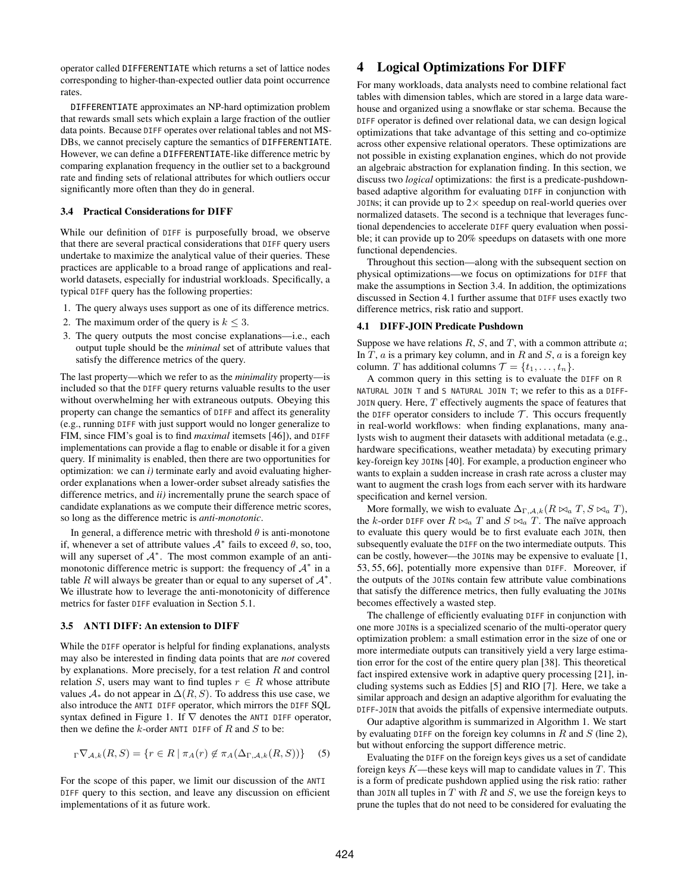operator called DIFFERENTIATE which returns a set of lattice nodes corresponding to higher-than-expected outlier data point occurrence rates.

DIFFERENTIATE approximates an NP-hard optimization problem that rewards small sets which explain a large fraction of the outlier data points. Because DIFF operates over relational tables and not MS-DBs, we cannot precisely capture the semantics of DIFFERENTIATE. However, we can define a DIFFERENTIATE-like difference metric by comparing explanation frequency in the outlier set to a background rate and finding sets of relational attributes for which outliers occur significantly more often than they do in general.

## <span id="page-5-1"></span>3.4 Practical Considerations for DIFF

While our definition of DIFF is purposefully broad, we observe that there are several practical considerations that DIFF query users undertake to maximize the analytical value of their queries. These practices are applicable to a broad range of applications and realworld datasets, especially for industrial workloads. Specifically, a typical DIFF query has the following properties:

- 1. The query always uses support as one of its difference metrics.
- 2. The maximum order of the query is  $k \leq 3$ .
- 3. The query outputs the most concise explanations—i.e., each output tuple should be the *minimal* set of attribute values that satisfy the difference metrics of the query.

The last property—which we refer to as the *minimality* property—is included so that the DIFF query returns valuable results to the user without overwhelming her with extraneous outputs. Obeying this property can change the semantics of DIFF and affect its generality (e.g., running DIFF with just support would no longer generalize to FIM, since FIM's goal is to find *maximal* itemsets [\[46\]](#page-12-16)), and DIFF implementations can provide a flag to enable or disable it for a given query. If minimality is enabled, then there are two opportunities for optimization: we can *i)* terminate early and avoid evaluating higherorder explanations when a lower-order subset already satisfies the difference metrics, and *ii)* incrementally prune the search space of candidate explanations as we compute their difference metric scores, so long as the difference metric is *anti-monotonic*.

In general, a difference metric with threshold  $\theta$  is anti-monotone if, whenever a set of attribute values  $A^*$  fails to exceed  $\theta$ , so, too, will any superset of  $A^*$ . The most common example of an antimonotonic difference metric is support: the frequency of  $A^*$  in a table R will always be greater than or equal to any superset of  $\mathcal{A}^*$ . We illustrate how to leverage the anti-monotonicity of difference metrics for faster DIFF evaluation in Section [5.1.](#page-6-1)

## 3.5 ANTI DIFF: An extension to DIFF

While the DIFF operator is helpful for finding explanations, analysts may also be interested in finding data points that are *not* covered by explanations. More precisely, for a test relation  $R$  and control relation S, users may want to find tuples  $r \in R$  whose attribute values  $A_*$  do not appear in  $\Delta(R, S)$ . To address this use case, we also introduce the ANTI DIFF operator, which mirrors the DIFF SQL syntax defined in Figure [1.](#page-2-0) If  $\nabla$  denotes the ANTI DIFF operator, then we define the  $k$ -order ANTI DIFF of R and S to be:

$$
\Gamma \nabla_{\mathcal{A},k}(R,S) = \{ r \in R \mid \pi_A(r) \notin \pi_A(\Delta_{\Gamma,\mathcal{A},k}(R,S)) \} \tag{5}
$$

For the scope of this paper, we limit our discussion of the ANTI DIFF query to this section, and leave any discussion on efficient implementations of it as future work.

# <span id="page-5-0"></span>4 Logical Optimizations For DIFF

For many workloads, data analysts need to combine relational fact tables with dimension tables, which are stored in a large data warehouse and organized using a snowflake or star schema. Because the DIFF operator is defined over relational data, we can design logical optimizations that take advantage of this setting and co-optimize across other expensive relational operators. These optimizations are not possible in existing explanation engines, which do not provide an algebraic abstraction for explanation finding. In this section, we discuss two *logical* optimizations: the first is a predicate-pushdownbased adaptive algorithm for evaluating DIFF in conjunction with JOINS; it can provide up to  $2 \times$  speedup on real-world queries over normalized datasets. The second is a technique that leverages functional dependencies to accelerate DIFF query evaluation when possible; it can provide up to 20% speedups on datasets with one more functional dependencies.

Throughout this section—along with the subsequent section on physical optimizations—we focus on optimizations for DIFF that make the assumptions in Section [3.4.](#page-5-1) In addition, the optimizations discussed in Section [4.1](#page-5-2) further assume that DIFF uses exactly two difference metrics, risk ratio and support.

#### <span id="page-5-2"></span>4.1 DIFF-JOIN Predicate Pushdown

Suppose we have relations  $R$ ,  $S$ , and  $T$ , with a common attribute  $a$ ; In  $T$ ,  $a$  is a primary key column, and in  $R$  and  $S$ ,  $a$  is a foreign key column. T has additional columns  $\mathcal{T} = \{t_1, \ldots, t_n\}.$ 

A common query in this setting is to evaluate the DIFF on R NATURAL JOIN T and S NATURAL JOIN T; we refer to this as a DIFF-JOIN query. Here,  $T$  effectively augments the space of features that the DIFF operator considers to include  $\mathcal T$ . This occurs frequently in real-world workflows: when finding explanations, many analysts wish to augment their datasets with additional metadata (e.g., hardware specifications, weather metadata) by executing primary key-foreign key JOINs [\[40\]](#page-12-3). For example, a production engineer who wants to explain a sudden increase in crash rate across a cluster may want to augment the crash logs from each server with its hardware specification and kernel version.

More formally, we wish to evaluate  $\Delta_{\Gamma,A,k}(R \bowtie_a T, S \bowtie_a T)$ , the k-order DIFF over  $R \bowtie_a T$  and  $S \bowtie_a T$ . The naïve approach to evaluate this query would be to first evaluate each JOIN, then subsequently evaluate the DIFF on the two intermediate outputs. This can be costly, however—the JOINs may be expensive to evaluate [\[1,](#page-12-17) [53,](#page-13-6) [55,](#page-13-7) [66\]](#page-13-8), potentially more expensive than DIFF. Moreover, if the outputs of the JOINs contain few attribute value combinations that satisfy the difference metrics, then fully evaluating the JOINs becomes effectively a wasted step.

The challenge of efficiently evaluating DIFF in conjunction with one more JOINs is a specialized scenario of the multi-operator query optimization problem: a small estimation error in the size of one or more intermediate outputs can transitively yield a very large estimation error for the cost of the entire query plan [\[38\]](#page-12-18). This theoretical fact inspired extensive work in adaptive query processing [\[21\]](#page-12-19), including systems such as Eddies [\[5\]](#page-12-20) and RIO [\[7\]](#page-12-21). Here, we take a similar approach and design an adaptive algorithm for evaluating the DIFF-JOIN that avoids the pitfalls of expensive intermediate outputs.

Our adaptive algorithm is summarized in Algorithm [1.](#page-6-2) We start by evaluating DIFF on the foreign key columns in R and S (line 2), but without enforcing the support difference metric.

Evaluating the DIFF on the foreign keys gives us a set of candidate foreign keys  $K$ —these keys will map to candidate values in  $T$ . This is a form of predicate pushdown applied using the risk ratio: rather than J0IN all tuples in  $T$  with  $R$  and  $S$ , we use the foreign keys to prune the tuples that do not need to be considered for evaluating the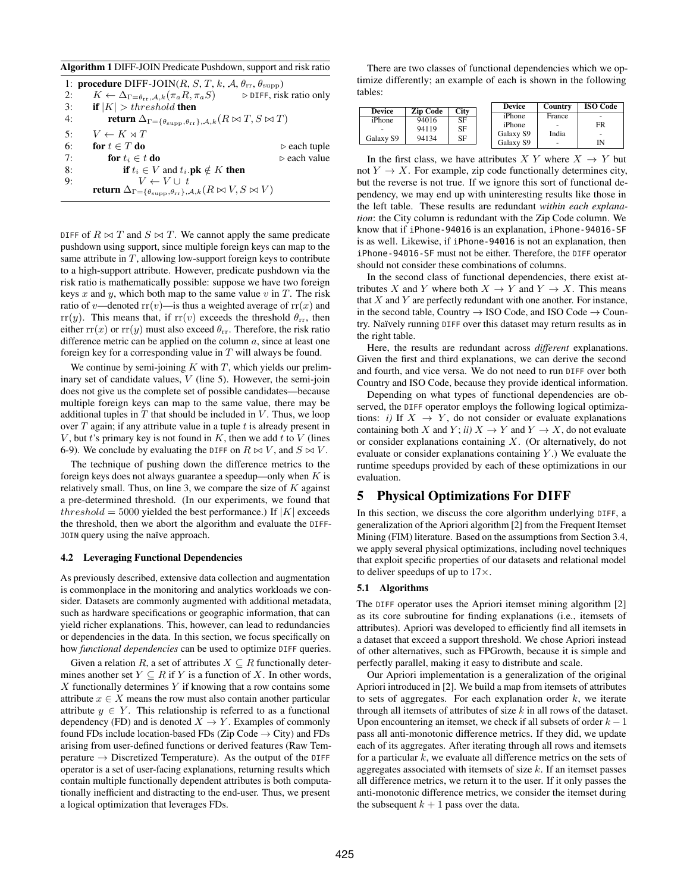<span id="page-6-2"></span>Algorithm 1 DIFF-JOIN Predicate Pushdown, support and risk ratio

|    | 1: <b>procedure</b> DIFF-JOIN(R, S, T, k, A, $\theta_{rr}$ , $\theta_{\text{supp}}$ )                                                            |                             |
|----|--------------------------------------------------------------------------------------------------------------------------------------------------|-----------------------------|
| 2: | $K \leftarrow \Delta_{\Gamma = \theta_{rr}, \mathcal{A}, k}(\pi_a R, \pi_a S)$ $\triangleright$ DIFF, risk ratio only                            |                             |
| 3: | <b>if</b> $ K  > threshold$ then                                                                                                                 |                             |
| 4: | <b>return</b> $\Delta_{\Gamma = {\theta_{\text{supp}}}, {\theta_{\text{rr}}}, {\lambda}, k}$ ( $R \bowtie T, S \bowtie T$ )                      |                             |
| 5: | $V \leftarrow K \rtimes T$                                                                                                                       |                             |
| 6: | for $t \in T$ do                                                                                                                                 | $\triangleright$ each tuple |
| 7: | for $t_i \in t$ do                                                                                                                               | $\triangleright$ each value |
| 8: | <b>if</b> $t_i \in V$ and $t_i$ <b>pk</b> $\notin K$ <b>then</b>                                                                                 |                             |
| 9: | $\mathop{\text{\bf return}}\limits^{} \Delta_{\Gamma = \{\theta_{\rm supp}, \theta_{\rm rr}\}, {\cal A}, k}^{\cal V} (R \bowtie V, S \bowtie V)$ |                             |

DIFF of  $R \bowtie T$  and  $S \bowtie T$ . We cannot apply the same predicate pushdown using support, since multiple foreign keys can map to the same attribute in  $T$ , allowing low-support foreign keys to contribute to a high-support attribute. However, predicate pushdown via the risk ratio is mathematically possible: suppose we have two foreign keys x and y, which both map to the same value v in T. The risk ratio of v—denoted  $rr(v)$ —is thus a weighted average of  $rr(x)$  and  $rr(y)$ . This means that, if  $rr(v)$  exceeds the threshold  $\theta_{rr}$ , then either  $rr(x)$  or  $rr(y)$  must also exceed  $\theta_{rr}$ . Therefore, the risk ratio difference metric can be applied on the column  $a$ , since at least one foreign key for a corresponding value in  $T$  will always be found.

We continue by semi-joining  $K$  with  $T$ , which yields our preliminary set of candidate values,  $V$  (line 5). However, the semi-join does not give us the complete set of possible candidates—because multiple foreign keys can map to the same value, there may be additional tuples in  $T$  that should be included in  $V$ . Thus, we loop over  $T$  again; if any attribute value in a tuple  $t$  is already present in  $V$ , but  $t$ 's primary key is not found in  $K$ , then we add  $t$  to  $V$  (lines 6-9). We conclude by evaluating the DIFF on  $R \bowtie V$ , and  $S \bowtie V$ .

The technique of pushing down the difference metrics to the foreign keys does not always guarantee a speedup—only when  $K$  is relatively small. Thus, on line 3, we compare the size of  $K$  against a pre-determined threshold. (In our experiments, we found that threshold = 5000 yielded the best performance.) If  $|K|$  exceeds the threshold, then we abort the algorithm and evaluate the DIFF-JOIN query using the naïve approach.

#### 4.2 Leveraging Functional Dependencies

As previously described, extensive data collection and augmentation is commonplace in the monitoring and analytics workloads we consider. Datasets are commonly augmented with additional metadata, such as hardware specifications or geographic information, that can yield richer explanations. This, however, can lead to redundancies or dependencies in the data. In this section, we focus specifically on how *functional dependencies* can be used to optimize DIFF queries.

Given a relation R, a set of attributes  $X \subseteq R$  functionally determines another set  $Y \subseteq R$  if Y is a function of X. In other words,  $X$  functionally determines  $Y$  if knowing that a row contains some attribute  $x \in X$  means the row must also contain another particular attribute  $y \in Y$ . This relationship is referred to as a functional dependency (FD) and is denoted  $X \to Y$ . Examples of commonly found FDs include location-based FDs (Zip Code  $\rightarrow$  City) and FDs arising from user-defined functions or derived features (Raw Temperature  $\rightarrow$  Discretized Temperature). As the output of the DIFF operator is a set of user-facing explanations, returning results which contain multiple functionally dependent attributes is both computationally inefficient and distracting to the end-user. Thus, we present a logical optimization that leverages FDs.

There are two classes of functional dependencies which we optimize differently; an example of each is shown in the following tables:

| iPhone<br>France<br>٠<br>94016<br>SF<br>iPhone<br>FR<br>iPhone<br>94119<br>SF<br>India<br>Galaxy S9<br>٠ | <b>Device</b> | <b>Zip Code</b> | <b>City</b> | <b>Device</b> | Country | <b>ISO Code</b> |
|----------------------------------------------------------------------------------------------------------|---------------|-----------------|-------------|---------------|---------|-----------------|
|                                                                                                          |               |                 |             |               |         |                 |
|                                                                                                          |               |                 |             |               |         |                 |
| ٠                                                                                                        | Galaxy S9     | 94134           | SF          | Galaxy S9     |         | IN              |

In the first class, we have attributes  $X Y$  where  $X \rightarrow Y$  but not  $Y \to X$ . For example, zip code functionally determines city, but the reverse is not true. If we ignore this sort of functional dependency, we may end up with uninteresting results like those in the left table. These results are redundant *within each explanation*: the City column is redundant with the Zip Code column. We know that if iPhone-94016 is an explanation, iPhone-94016-SF is as well. Likewise, if iPhone-94016 is not an explanation, then iPhone-94016-SF must not be either. Therefore, the DIFF operator should not consider these combinations of columns.

In the second class of functional dependencies, there exist attributes X and Y where both  $X \to Y$  and  $Y \to X$ . This means that  $X$  and  $Y$  are perfectly redundant with one another. For instance, in the second table, Country  $\rightarrow$  ISO Code, and ISO Code  $\rightarrow$  Country. Naïvely running DIFF over this dataset may return results as in the right table.

Here, the results are redundant across *different* explanations. Given the first and third explanations, we can derive the second and fourth, and vice versa. We do not need to run DIFF over both Country and ISO Code, because they provide identical information.

Depending on what types of functional dependencies are observed, the DIFF operator employs the following logical optimizations: *i*) If  $X \rightarrow Y$ , do not consider or evaluate explanations containing both X and Y; *ii*)  $X \to Y$  and  $Y \to X$ , do not evaluate or consider explanations containing X. (Or alternatively, do not evaluate or consider explanations containing  $Y$ .) We evaluate the runtime speedups provided by each of these optimizations in our evaluation.

# <span id="page-6-0"></span>5 Physical Optimizations For DIFF

In this section, we discuss the core algorithm underlying DIFF, a generalization of the Apriori algorithm [\[2\]](#page-12-5) from the Frequent Itemset Mining (FIM) literature. Based on the assumptions from Section [3.4,](#page-5-1) we apply several physical optimizations, including novel techniques that exploit specific properties of our datasets and relational model to deliver speedups of up to 17×.

## <span id="page-6-1"></span>5.1 Algorithms

The DIFF operator uses the Apriori itemset mining algorithm [\[2\]](#page-12-5) as its core subroutine for finding explanations (i.e., itemsets of attributes). Apriori was developed to efficiently find all itemsets in a dataset that exceed a support threshold. We chose Apriori instead of other alternatives, such as FPGrowth, because it is simple and perfectly parallel, making it easy to distribute and scale.

Our Apriori implementation is a generalization of the original Apriori introduced in [\[2\]](#page-12-5). We build a map from itemsets of attributes to sets of aggregates. For each explanation order  $k$ , we iterate through all itemsets of attributes of size  $k$  in all rows of the dataset. Upon encountering an itemset, we check if all subsets of order  $k - 1$ pass all anti-monotonic difference metrics. If they did, we update each of its aggregates. After iterating through all rows and itemsets for a particular  $k$ , we evaluate all difference metrics on the sets of aggregates associated with itemsets of size  $k$ . If an itemset passes all difference metrics, we return it to the user. If it only passes the anti-monotonic difference metrics, we consider the itemset during the subsequent  $k + 1$  pass over the data.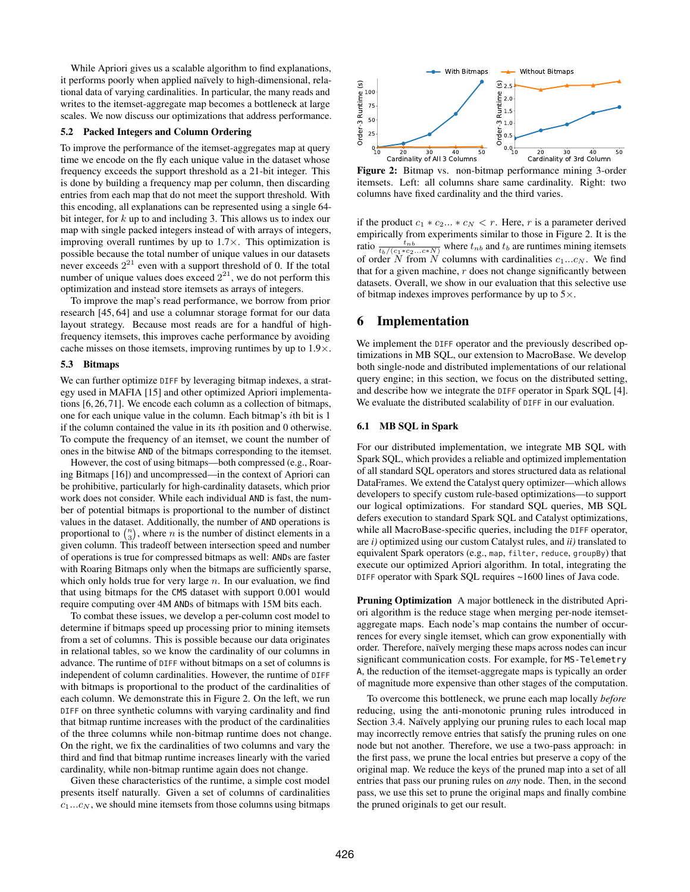While Apriori gives us a scalable algorithm to find explanations, it performs poorly when applied naïvely to high-dimensional, relational data of varying cardinalities. In particular, the many reads and writes to the itemset-aggregate map becomes a bottleneck at large scales. We now discuss our optimizations that address performance.

## 5.2 Packed Integers and Column Ordering

To improve the performance of the itemset-aggregates map at query time we encode on the fly each unique value in the dataset whose frequency exceeds the support threshold as a 21-bit integer. This is done by building a frequency map per column, then discarding entries from each map that do not meet the support threshold. With this encoding, all explanations can be represented using a single 64 bit integer, for  $k$  up to and including 3. This allows us to index our map with single packed integers instead of with arrays of integers, improving overall runtimes by up to  $1.7\times$ . This optimization is possible because the total number of unique values in our datasets never exceeds  $2^{21}$  even with a support threshold of 0. If the total number of unique values does exceed  $2^{21}$ , we do not perform this optimization and instead store itemsets as arrays of integers.

To improve the map's read performance, we borrow from prior research [\[45,](#page-12-22) [64\]](#page-13-9) and use a columnar storage format for our data layout strategy. Because most reads are for a handful of highfrequency itemsets, this improves cache performance by avoiding cache misses on those itemsets, improving runtimes by up to 1.9×.

#### 5.3 Bitmaps

We can further optimize DIFF by leveraging bitmap indexes, a strategy used in MAFIA [\[15\]](#page-12-23) and other optimized Apriori implementations [\[6,](#page-12-24) [26,](#page-12-25) [71\]](#page-13-10). We encode each column as a collection of bitmaps, one for each unique value in the column. Each bitmap's ith bit is 1 if the column contained the value in its  $i$ th position and 0 otherwise. To compute the frequency of an itemset, we count the number of ones in the bitwise AND of the bitmaps corresponding to the itemset.

However, the cost of using bitmaps—both compressed (e.g., Roaring Bitmaps [\[16\]](#page-12-26)) and uncompressed—in the context of Apriori can be prohibitive, particularly for high-cardinality datasets, which prior work does not consider. While each individual AND is fast, the number of potential bitmaps is proportional to the number of distinct values in the dataset. Additionally, the number of AND operations is proportional to  $\binom{n}{3}$ , where *n* is the number of distinct elements in a given column. This tradeoff between intersection speed and number of operations is true for compressed bitmaps as well: ANDs are faster with Roaring Bitmaps only when the bitmaps are sufficiently sparse, which only holds true for very large  $n$ . In our evaluation, we find that using bitmaps for the CMS dataset with support 0.001 would require computing over 4M ANDs of bitmaps with 15M bits each.

To combat these issues, we develop a per-column cost model to determine if bitmaps speed up processing prior to mining itemsets from a set of columns. This is possible because our data originates in relational tables, so we know the cardinality of our columns in advance. The runtime of DIFF without bitmaps on a set of columns is independent of column cardinalities. However, the runtime of DIFF with bitmaps is proportional to the product of the cardinalities of each column. We demonstrate this in Figure [2.](#page-7-0) On the left, we run DIFF on three synthetic columns with varying cardinality and find that bitmap runtime increases with the product of the cardinalities of the three columns while non-bitmap runtime does not change. On the right, we fix the cardinalities of two columns and vary the third and find that bitmap runtime increases linearly with the varied cardinality, while non-bitmap runtime again does not change.

Given these characteristics of the runtime, a simple cost model presents itself naturally. Given a set of columns of cardinalities  $c_1...c_N$ , we should mine itemsets from those columns using bitmaps

<span id="page-7-0"></span>

Figure 2: Bitmap vs. non-bitmap performance mining 3-order itemsets. Left: all columns share same cardinality. Right: two columns have fixed cardinality and the third varies.

if the product  $c_1 * c_2 ... * c_N < r$ . Here, r is a parameter derived empirically from experiments similar to those in Figure [2.](#page-7-0) It is the ratio  $\frac{t_{nb}}{t_b/(c_1*c_2...c*N)}$  where  $t_{nb}$  and  $t_b$  are runtimes mining itemsets of order  $\hat{N}$  from  $\hat{N}$  columns with cardinalities  $c_1...c_N$ . We find that for a given machine,  $r$  does not change significantly between datasets. Overall, we show in our evaluation that this selective use of bitmap indexes improves performance by up to  $5\times$ .

# <span id="page-7-1"></span>6 Implementation

We implement the DIFF operator and the previously described optimizations in MB SQL, our extension to MacroBase. We develop both single-node and distributed implementations of our relational query engine; in this section, we focus on the distributed setting, and describe how we integrate the DIFF operator in Spark SQL [\[4\]](#page-12-27). We evaluate the distributed scalability of DIFF in our evaluation.

# 6.1 MB SQL in Spark

For our distributed implementation, we integrate MB SQL with Spark SQL, which provides a reliable and optimized implementation of all standard SQL operators and stores structured data as relational DataFrames. We extend the Catalyst query optimizer—which allows developers to specify custom rule-based optimizations—to support our logical optimizations. For standard SQL queries, MB SQL defers execution to standard Spark SQL and Catalyst optimizations, while all MacroBase-specific queries, including the DIFF operator, are *i)* optimized using our custom Catalyst rules, and *ii)* translated to equivalent Spark operators (e.g., map, filter, reduce, groupBy) that execute our optimized Apriori algorithm. In total, integrating the DIFF operator with Spark SQL requires ~1600 lines of Java code.

Pruning Optimization A major bottleneck in the distributed Apriori algorithm is the reduce stage when merging per-node itemsetaggregate maps. Each node's map contains the number of occurrences for every single itemset, which can grow exponentially with order. Therefore, naïvely merging these maps across nodes can incur significant communication costs. For example, for MS-Telemetry A, the reduction of the itemset-aggregate maps is typically an order of magnitude more expensive than other stages of the computation.

To overcome this bottleneck, we prune each map locally *before* reducing, using the anti-monotonic pruning rules introduced in Section [3.4.](#page-5-1) Naïvely applying our pruning rules to each local map may incorrectly remove entries that satisfy the pruning rules on one node but not another. Therefore, we use a two-pass approach: in the first pass, we prune the local entries but preserve a copy of the original map. We reduce the keys of the pruned map into a set of all entries that pass our pruning rules on *any* node. Then, in the second pass, we use this set to prune the original maps and finally combine the pruned originals to get our result.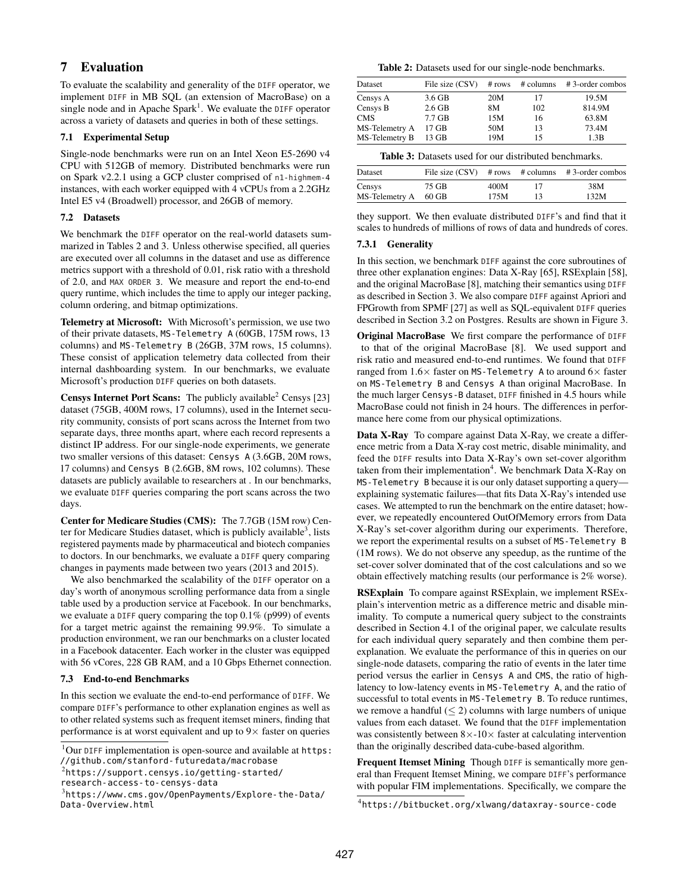# <span id="page-8-6"></span>7 Evaluation

To evaluate the scalability and generality of the DIFF operator, we implement DIFF in MB SQL (an extension of MacroBase) on a single node and in Apache Spark<sup>[1](#page-8-0)</sup>. We evaluate the DIFF operator across a variety of datasets and queries in both of these settings.

# 7.1 Experimental Setup

Single-node benchmarks were run on an Intel Xeon E5-2690 v4 CPU with 512GB of memory. Distributed benchmarks were run on Spark v2.2.1 using a GCP cluster comprised of n1-highmem-4 instances, with each worker equipped with 4 vCPUs from a 2.2GHz Intel E5 v4 (Broadwell) processor, and 26GB of memory.

# 7.2 Datasets

We benchmark the DIFF operator on the real-world datasets summarized in Tables [2](#page-8-1) and [3.](#page-8-2) Unless otherwise specified, all queries are executed over all columns in the dataset and use as difference metrics support with a threshold of 0.01, risk ratio with a threshold of 2.0, and MAX ORDER 3. We measure and report the end-to-end query runtime, which includes the time to apply our integer packing, column ordering, and bitmap optimizations.

Telemetry at Microsoft: With Microsoft's permission, we use two of their private datasets, MS-Telemetry A (60GB, 175M rows, 13 columns) and MS-Telemetry B (26GB, 37M rows, 15 columns). These consist of application telemetry data collected from their internal dashboarding system. In our benchmarks, we evaluate Microsoft's production DIFF queries on both datasets.

**Censys Internet Port Scans:** The publicly available<sup>[2](#page-8-3)</sup> Censys [\[23\]](#page-12-9) dataset (75GB, 400M rows, 17 columns), used in the Internet security community, consists of port scans across the Internet from two separate days, three months apart, where each record represents a distinct IP address. For our single-node experiments, we generate two smaller versions of this dataset: Censys A (3.6GB, 20M rows, 17 columns) and Censys B (2.6GB, 8M rows, 102 columns). These datasets are publicly available to researchers at . In our benchmarks, we evaluate DIFF queries comparing the port scans across the two days.

Center for Medicare Studies (CMS): The 7.7GB (15M row) Cen-ter for Medicare Studies dataset, which is publicly available<sup>[3](#page-8-4)</sup>, lists registered payments made by pharmaceutical and biotech companies to doctors. In our benchmarks, we evaluate a DIFF query comparing changes in payments made between two years (2013 and 2015).

We also benchmarked the scalability of the DIFF operator on a day's worth of anonymous scrolling performance data from a single table used by a production service at Facebook. In our benchmarks, we evaluate a DIFF query comparing the top 0.1% (p999) of events for a target metric against the remaining 99.9%. To simulate a production environment, we ran our benchmarks on a cluster located in a Facebook datacenter. Each worker in the cluster was equipped with 56 vCores, 228 GB RAM, and a 10 Gbps Ethernet connection.

# 7.3 End-to-end Benchmarks

In this section we evaluate the end-to-end performance of DIFF. We compare DIFF's performance to other explanation engines as well as to other related systems such as frequent itemset miners, finding that performance is at worst equivalent and up to  $9\times$  faster on queries

<span id="page-8-1"></span>Table 2: Datasets used for our single-node benchmarks.

| Dataset        | File size (CSV) | # rows | # columns | #3-order combos |
|----------------|-----------------|--------|-----------|-----------------|
| Censys A       | 3.6 GB          | 20M    | 17        | 19.5M           |
| Censys B       | $2.6$ GB        | 8M     | 102       | 814.9M          |
| <b>CMS</b>     | 7.7 GB          | 15M    | 16        | 63.8M           |
| MS-Telemetry A | 17 GB           | 50M    | 13        | 73.4M           |
| MS-Telemetry B | 13 GB           | 19M    | 15        | 1.3B            |

<span id="page-8-2"></span>Table 3: Datasets used for our distributed benchmarks.

| Dataset              |       |      | File size $(CSV)$ # rows # columns # 3-order combos |
|----------------------|-------|------|-----------------------------------------------------|
| Censys               | 75 GB | 400M | 38M                                                 |
| MS-Telemetry A 60 GB |       | 175M | 132M                                                |
|                      |       |      |                                                     |

they support. We then evaluate distributed DIFF's and find that it scales to hundreds of millions of rows of data and hundreds of cores.

# 7.3.1 Generality

In this section, we benchmark DIFF against the core subroutines of three other explanation engines: Data X-Ray [\[65\]](#page-13-2), RSExplain [\[58\]](#page-13-1), and the original MacroBase [\[8\]](#page-12-1), matching their semantics using DIFF as described in Section [3.](#page-2-2) We also compare DIFF against Apriori and FPGrowth from SPMF [\[27\]](#page-12-13) as well as SQL-equivalent DIFF queries described in Section [3.2](#page-3-0) on Postgres. Results are shown in Figure [3.](#page-9-0)

Original MacroBase We first compare the performance of DIFF to that of the original MacroBase [\[8\]](#page-12-1). We used support and risk ratio and measured end-to-end runtimes. We found that DIFF ranged from  $1.6\times$  faster on MS-Telemetry A to around  $6\times$  faster on MS-Telemetry B and Censys A than original MacroBase. In the much larger Censys-B dataset, DIFF finished in 4.5 hours while MacroBase could not finish in 24 hours. The differences in performance here come from our physical optimizations.

Data X-Ray To compare against Data X-Ray, we create a difference metric from a Data X-ray cost metric, disable minimality, and feed the DIFF results into Data X-Ray's own set-cover algorithm taken from their implementation<sup>[4](#page-8-5)</sup>. We benchmark Data X-Ray on MS-Telemetry B because it is our only dataset supporting a query explaining systematic failures—that fits Data X-Ray's intended use cases. We attempted to run the benchmark on the entire dataset; however, we repeatedly encountered OutOfMemory errors from Data X-Ray's set-cover algorithm during our experiments. Therefore, we report the experimental results on a subset of MS-Telemetry B (1M rows). We do not observe any speedup, as the runtime of the set-cover solver dominated that of the cost calculations and so we obtain effectively matching results (our performance is 2% worse).

RSExplain To compare against RSExplain, we implement RSExplain's intervention metric as a difference metric and disable minimality. To compute a numerical query subject to the constraints described in Section 4.1 of the original paper, we calculate results for each individual query separately and then combine them perexplanation. We evaluate the performance of this in queries on our single-node datasets, comparing the ratio of events in the later time period versus the earlier in Censys A and CMS, the ratio of highlatency to low-latency events in MS-Telemetry A, and the ratio of successful to total events in MS-Telemetry B. To reduce runtimes, we remove a handful  $(< 2$ ) columns with large numbers of unique values from each dataset. We found that the DIFF implementation was consistently between  $8 \times -10 \times$  faster at calculating intervention than the originally described data-cube-based algorithm.

Frequent Itemset Mining Though DIFF is semantically more general than Frequent Itemset Mining, we compare DIFF's performance with popular FIM implementations. Specifically, we compare the

<span id="page-8-0"></span> $1$ Our DIFF implementation is open-source and available at [https:](https://github.com/stanford-futuredata/macrobase) [//github.com/stanford-futuredata/macrobase](https://github.com/stanford-futuredata/macrobase)

<span id="page-8-3"></span> $^{2}$ [https://support.censys.io/getting-started/](https://support.censys.io/getting-started/research-access-to-censys-data)

[research-access-to-censys-data](https://support.censys.io/getting-started/research-access-to-censys-data)

<span id="page-8-4"></span> $^3$ [https://www.cms.gov/OpenPayments/Explore-the-Data/](https://www.cms.gov/OpenPayments/Explore-the-Data/Data-Overview.html) [Data-Overview.html](https://www.cms.gov/OpenPayments/Explore-the-Data/Data-Overview.html)

<span id="page-8-5"></span><sup>4</sup> <https://bitbucket.org/xlwang/dataxray-source-code>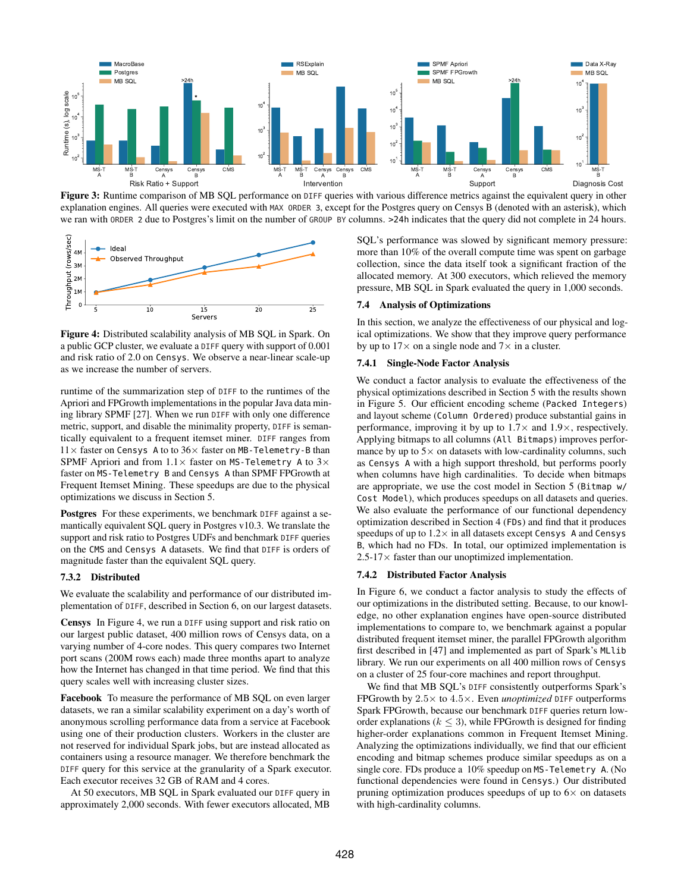<span id="page-9-0"></span>

Figure 3: Runtime comparison of MB SQL performance on DIFF queries with various difference metrics against the equivalent query in other explanation engines. All queries were executed with MAX ORDER 3, except for the Postgres query on Censys B (denoted with an asterisk), which we ran with ORDER 2 due to Postgres's limit on the number of GROUP BY columns. >24h indicates that the query did not complete in 24 hours.

<span id="page-9-1"></span>

Figure 4: Distributed scalability analysis of MB SQL in Spark. On a public GCP cluster, we evaluate a DIFF query with support of 0.001 and risk ratio of 2.0 on Censys. We observe a near-linear scale-up as we increase the number of servers.

runtime of the summarization step of DIFF to the runtimes of the Apriori and FPGrowth implementations in the popular Java data mining library SPMF [\[27\]](#page-12-13). When we run DIFF with only one difference metric, support, and disable the minimality property, DIFF is semantically equivalent to a frequent itemset miner. DIFF ranges from  $11\times$  faster on Censys A to to  $36\times$  faster on MB-Telemetry-B than SPMF Apriori and from  $1.1 \times$  faster on MS-Telemetry A to  $3 \times$ faster on MS-Telemetry B and Censys A than SPMF FPGrowth at Frequent Itemset Mining. These speedups are due to the physical optimizations we discuss in Section [5.](#page-6-0)

Postgres For these experiments, we benchmark DIFF against a semantically equivalent SQL query in Postgres v10.3. We translate the support and risk ratio to Postgres UDFs and benchmark DIFF queries on the CMS and Censys A datasets. We find that DIFF is orders of magnitude faster than the equivalent SQL query.

## 7.3.2 Distributed

We evaluate the scalability and performance of our distributed implementation of DIFF, described in Section [6,](#page-7-1) on our largest datasets.

Censys In Figure [4,](#page-9-1) we run a DIFF using support and risk ratio on our largest public dataset, 400 million rows of Censys data, on a varying number of 4-core nodes. This query compares two Internet port scans (200M rows each) made three months apart to analyze how the Internet has changed in that time period. We find that this query scales well with increasing cluster sizes.

Facebook To measure the performance of MB SQL on even larger datasets, we ran a similar scalability experiment on a day's worth of anonymous scrolling performance data from a service at Facebook using one of their production clusters. Workers in the cluster are not reserved for individual Spark jobs, but are instead allocated as containers using a resource manager. We therefore benchmark the DIFF query for this service at the granularity of a Spark executor. Each executor receives 32 GB of RAM and 4 cores.

At 50 executors, MB SQL in Spark evaluated our DIFF query in approximately 2,000 seconds. With fewer executors allocated, MB SQL's performance was slowed by significant memory pressure: more than 10% of the overall compute time was spent on garbage collection, since the data itself took a significant fraction of the allocated memory. At 300 executors, which relieved the memory pressure, MB SQL in Spark evaluated the query in 1,000 seconds.

#### 7.4 Analysis of Optimizations

In this section, we analyze the effectiveness of our physical and logical optimizations. We show that they improve query performance by up to  $17 \times$  on a single node and  $7 \times$  in a cluster.

## 7.4.1 Single-Node Factor Analysis

We conduct a factor analysis to evaluate the effectiveness of the physical optimizations described in Section [5](#page-6-0) with the results shown in Figure [5.](#page-10-0) Our efficient encoding scheme (Packed Integers) and layout scheme (Column Ordered) produce substantial gains in performance, improving it by up to  $1.7\times$  and  $1.9\times$ , respectively. Applying bitmaps to all columns (All Bitmaps) improves performance by up to  $5\times$  on datasets with low-cardinality columns, such as Censys A with a high support threshold, but performs poorly when columns have high cardinalities. To decide when bitmaps are appropriate, we use the cost model in Section [5](#page-6-0) (Bitmap w/ Cost Model), which produces speedups on all datasets and queries. We also evaluate the performance of our functional dependency optimization described in Section [4](#page-5-0) (FDs) and find that it produces speedups of up to  $1.2 \times$  in all datasets except Censys A and Censys B, which had no FDs. In total, our optimized implementation is  $2.5\n-17\times$  faster than our unoptimized implementation.

## 7.4.2 Distributed Factor Analysis

In Figure [6,](#page-10-1) we conduct a factor analysis to study the effects of our optimizations in the distributed setting. Because, to our knowledge, no other explanation engines have open-source distributed implementations to compare to, we benchmark against a popular distributed frequent itemset miner, the parallel FPGrowth algorithm first described in [\[47\]](#page-12-28) and implemented as part of Spark's MLlib library. We run our experiments on all 400 million rows of Censys on a cluster of 25 four-core machines and report throughput.

We find that MB SQL's DIFF consistently outperforms Spark's FPGrowth by 2.5× to 4.5×. Even *unoptimized* DIFF outperforms Spark FPGrowth, because our benchmark DIFF queries return loworder explanations ( $k \leq 3$ ), while FPGrowth is designed for finding higher-order explanations common in Frequent Itemset Mining. Analyzing the optimizations individually, we find that our efficient encoding and bitmap schemes produce similar speedups as on a single core. FDs produce a 10% speedup on MS-Telemetry A. (No functional dependencies were found in Censys.) Our distributed pruning optimization produces speedups of up to  $6\times$  on datasets with high-cardinality columns.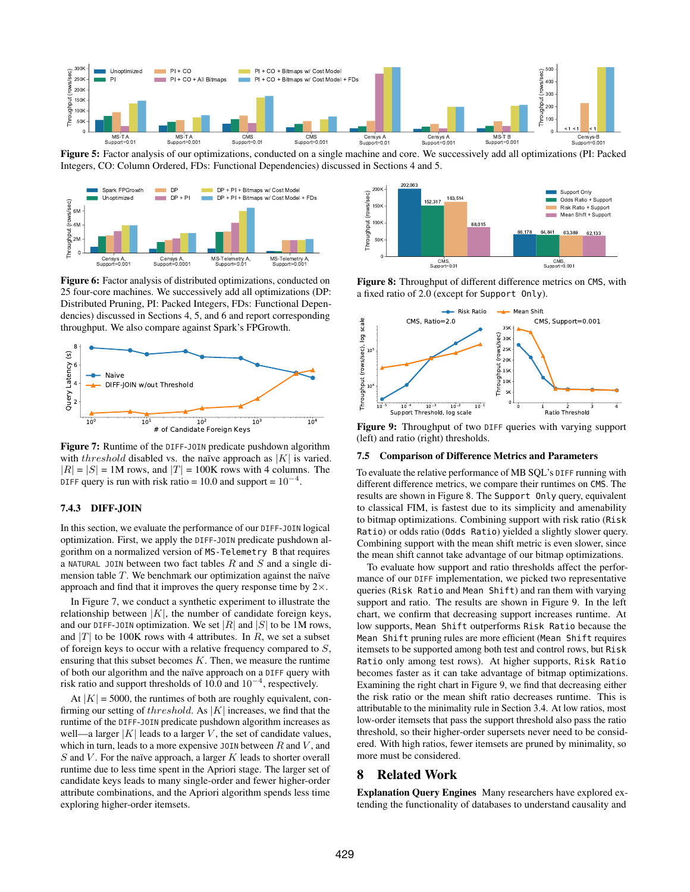<span id="page-10-0"></span>

Figure 5: Factor analysis of our optimizations, conducted on a single machine and core. We successively add all optimizations (PI: Packed Integers, CO: Column Ordered, FDs: Functional Dependencies) discussed in Sections [4](#page-5-0) and [5.](#page-6-0)

<span id="page-10-1"></span>

Figure 6: Factor analysis of distributed optimizations, conducted on 25 four-core machines. We successively add all optimizations (DP: Distributed Pruning, PI: Packed Integers, FDs: Functional Dependencies) discussed in Sections [4,](#page-5-0) [5,](#page-6-0) and [6](#page-7-1) and report corresponding throughput. We also compare against Spark's FPGrowth.

<span id="page-10-2"></span>

Figure 7: Runtime of the DIFF-JOIN predicate pushdown algorithm with threshold disabled vs. the naïve approach as  $|K|$  is varied.  $|R| = |S| = 1$ M rows, and  $|T| = 100$ K rows with 4 columns. The DIFF query is run with risk ratio = 10.0 and support =  $10^{-4}$ .

# 7.4.3 DIFF-JOIN

In this section, we evaluate the performance of our DIFF-JOIN logical optimization. First, we apply the DIFF-JOIN predicate pushdown algorithm on a normalized version of MS-Telemetry B that requires a NATURAL JOIN between two fact tables  $R$  and  $S$  and a single dimension table  $T$ . We benchmark our optimization against the naïve approach and find that it improves the query response time by  $2 \times$ .

In Figure [7,](#page-10-2) we conduct a synthetic experiment to illustrate the relationship between  $|K|$ , the number of candidate foreign keys, and our DIFF-J0IN optimization. We set |R| and |S| to be 1M rows, and |T| to be 100K rows with 4 attributes. In R, we set a subset of foreign keys to occur with a relative frequency compared to S, ensuring that this subset becomes  $K$ . Then, we measure the runtime of both our algorithm and the naïve approach on a DIFF query with risk ratio and support thresholds of 10.0 and  $10^{-4}$ , respectively.

At  $|K| = 5000$ , the runtimes of both are roughly equivalent, confirming our setting of threshold. As  $|K|$  increases, we find that the runtime of the DIFF-JOIN predicate pushdown algorithm increases as well—a larger  $|K|$  leads to a larger V, the set of candidate values, which in turn, leads to a more expensive JOIN between  $R$  and  $V$ , and  $S$  and  $V$ . For the naïve approach, a larger  $K$  leads to shorter overall runtime due to less time spent in the Apriori stage. The larger set of candidate keys leads to many single-order and fewer higher-order attribute combinations, and the Apriori algorithm spends less time exploring higher-order itemsets.

<span id="page-10-3"></span>

Figure 8: Throughput of different difference metrics on CMS, with a fixed ratio of 2.0 (except for Support Only).

<span id="page-10-4"></span>

Figure 9: Throughput of two DIFF queries with varying support (left) and ratio (right) thresholds.

## 7.5 Comparison of Difference Metrics and Parameters

To evaluate the relative performance of MB SQL's DIFF running with different difference metrics, we compare their runtimes on CMS. The results are shown in Figure [8.](#page-10-3) The Support Only query, equivalent to classical FIM, is fastest due to its simplicity and amenability to bitmap optimizations. Combining support with risk ratio (Risk Ratio) or odds ratio (Odds Ratio) yielded a slightly slower query. Combining support with the mean shift metric is even slower, since the mean shift cannot take advantage of our bitmap optimizations.

To evaluate how support and ratio thresholds affect the performance of our DIFF implementation, we picked two representative queries (Risk Ratio and Mean Shift) and ran them with varying support and ratio. The results are shown in Figure [9.](#page-10-4) In the left chart, we confirm that decreasing support increases runtime. At low supports, Mean Shift outperforms Risk Ratio because the Mean Shift pruning rules are more efficient (Mean Shift requires itemsets to be supported among both test and control rows, but Risk Ratio only among test rows). At higher supports, Risk Ratio becomes faster as it can take advantage of bitmap optimizations. Examining the right chart in Figure [9,](#page-10-4) we find that decreasing either the risk ratio or the mean shift ratio decreases runtime. This is attributable to the minimality rule in Section [3.4.](#page-5-1) At low ratios, most low-order itemsets that pass the support threshold also pass the ratio threshold, so their higher-order supersets never need to be considered. With high ratios, fewer itemsets are pruned by minimality, so more must be considered.

## 8 Related Work

Explanation Query Engines Many researchers have explored extending the functionality of databases to understand causality and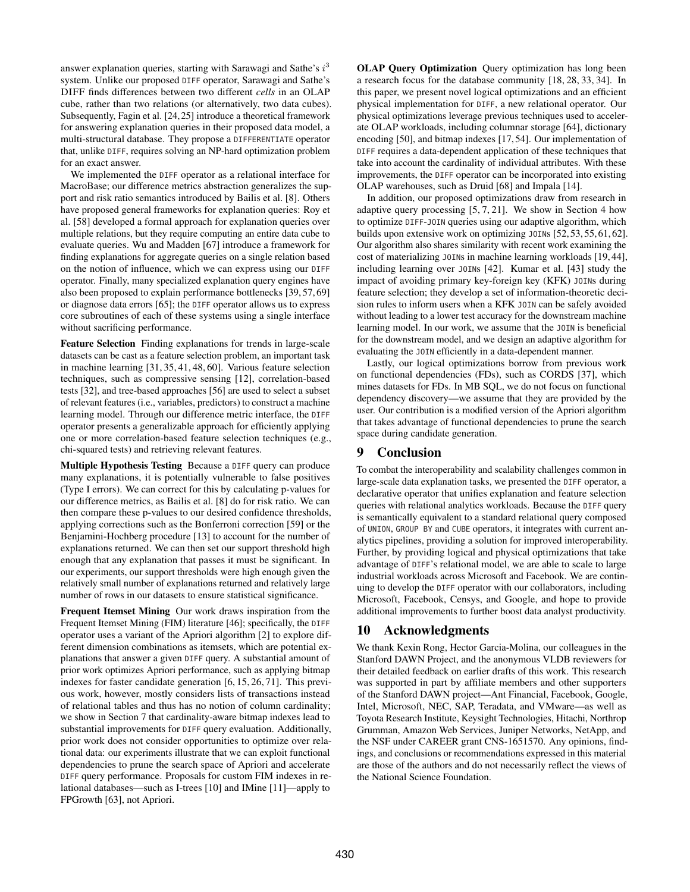answer explanation queries, starting with Sarawagi and Sathe's  $i^3$ system. Unlike our proposed DIFF operator, Sarawagi and Sathe's DIFF finds differences between two different *cells* in an OLAP cube, rather than two relations (or alternatively, two data cubes). Subsequently, Fagin et al. [\[24,](#page-12-14) [25\]](#page-12-15) introduce a theoretical framework for answering explanation queries in their proposed data model, a multi-structural database. They propose a DIFFERENTIATE operator that, unlike DIFF, requires solving an NP-hard optimization problem for an exact answer.

We implemented the DIFF operator as a relational interface for MacroBase; our difference metrics abstraction generalizes the support and risk ratio semantics introduced by Bailis et al. [\[8\]](#page-12-1). Others have proposed general frameworks for explanation queries: Roy et al. [\[58\]](#page-13-1) developed a formal approach for explanation queries over multiple relations, but they require computing an entire data cube to evaluate queries. Wu and Madden [\[67\]](#page-13-3) introduce a framework for finding explanations for aggregate queries on a single relation based on the notion of influence, which we can express using our DIFF operator. Finally, many specialized explanation query engines have also been proposed to explain performance bottlenecks [\[39,](#page-12-29) [57,](#page-13-11) [69\]](#page-13-12) or diagnose data errors [\[65\]](#page-13-2); the DIFF operator allows us to express core subroutines of each of these systems using a single interface without sacrificing performance.

Feature Selection Finding explanations for trends in large-scale datasets can be cast as a feature selection problem, an important task in machine learning [\[31,](#page-12-2) [35,](#page-12-30) [41,](#page-12-31) [48,](#page-13-13) [60\]](#page-13-14). Various feature selection techniques, such as compressive sensing [\[12\]](#page-12-32), correlation-based tests [\[32\]](#page-12-33), and tree-based approaches [\[56\]](#page-13-15) are used to select a subset of relevant features (i.e., variables, predictors) to construct a machine learning model. Through our difference metric interface, the DIFF operator presents a generalizable approach for efficiently applying one or more correlation-based feature selection techniques (e.g., chi-squared tests) and retrieving relevant features.

Multiple Hypothesis Testing Because a DIFF query can produce many explanations, it is potentially vulnerable to false positives (Type I errors). We can correct for this by calculating p-values for our difference metrics, as Bailis et al. [\[8\]](#page-12-1) do for risk ratio. We can then compare these p-values to our desired confidence thresholds, applying corrections such as the Bonferroni correction [\[59\]](#page-13-16) or the Benjamini-Hochberg procedure [\[13\]](#page-12-34) to account for the number of explanations returned. We can then set our support threshold high enough that any explanation that passes it must be significant. In our experiments, our support thresholds were high enough given the relatively small number of explanations returned and relatively large number of rows in our datasets to ensure statistical significance.

Frequent Itemset Mining Our work draws inspiration from the Frequent Itemset Mining (FIM) literature [\[46\]](#page-12-16); specifically, the DIFF operator uses a variant of the Apriori algorithm [\[2\]](#page-12-5) to explore different dimension combinations as itemsets, which are potential explanations that answer a given DIFF query. A substantial amount of prior work optimizes Apriori performance, such as applying bitmap indexes for faster candidate generation [\[6,](#page-12-24) [15,](#page-12-23) [26,](#page-12-25) [71\]](#page-13-10). This previous work, however, mostly considers lists of transactions instead of relational tables and thus has no notion of column cardinality; we show in Section [7](#page-8-6) that cardinality-aware bitmap indexes lead to substantial improvements for DIFF query evaluation. Additionally, prior work does not consider opportunities to optimize over relational data: our experiments illustrate that we can exploit functional dependencies to prune the search space of Apriori and accelerate DIFF query performance. Proposals for custom FIM indexes in relational databases—such as I-trees [\[10\]](#page-12-35) and IMine [\[11\]](#page-12-36)—apply to FPGrowth [\[63\]](#page-13-17), not Apriori.

OLAP Query Optimization Query optimization has long been a research focus for the database community [\[18,](#page-12-37) [28,](#page-12-38) [33,](#page-12-39) [34\]](#page-12-40). In this paper, we present novel logical optimizations and an efficient physical implementation for DIFF, a new relational operator. Our physical optimizations leverage previous techniques used to accelerate OLAP workloads, including columnar storage [\[64\]](#page-13-9), dictionary encoding [\[50\]](#page-13-18), and bitmap indexes [\[17,](#page-12-41) [54\]](#page-13-19). Our implementation of DIFF requires a data-dependent application of these techniques that take into account the cardinality of individual attributes. With these improvements, the DIFF operator can be incorporated into existing OLAP warehouses, such as Druid [\[68\]](#page-13-20) and Impala [\[14\]](#page-12-42).

In addition, our proposed optimizations draw from research in adaptive query processing [\[5,](#page-12-20) [7,](#page-12-21) [21\]](#page-12-19). We show in Section [4](#page-5-0) how to optimize DIFF-JOIN queries using our adaptive algorithm, which builds upon extensive work on optimizing JOINs [\[52,](#page-13-21) [53,](#page-13-6) [55,](#page-13-7) [61,](#page-13-22) [62\]](#page-13-23). Our algorithm also shares similarity with recent work examining the cost of materializing JOINs in machine learning workloads [\[19,](#page-12-43) [44\]](#page-12-44), including learning over JOINs [\[42\]](#page-12-4). Kumar et al. [\[43\]](#page-12-45) study the impact of avoiding primary key-foreign key (KFK) JOINs during feature selection; they develop a set of information-theoretic decision rules to inform users when a KFK JOIN can be safely avoided without leading to a lower test accuracy for the downstream machine learning model. In our work, we assume that the JOIN is beneficial for the downstream model, and we design an adaptive algorithm for evaluating the JOIN efficiently in a data-dependent manner.

Lastly, our logical optimizations borrow from previous work on functional dependencies (FDs), such as CORDS [\[37\]](#page-12-46), which mines datasets for FDs. In MB SQL, we do not focus on functional dependency discovery—we assume that they are provided by the user. Our contribution is a modified version of the Apriori algorithm that takes advantage of functional dependencies to prune the search space during candidate generation.

# 9 Conclusion

To combat the interoperability and scalability challenges common in large-scale data explanation tasks, we presented the DIFF operator, a declarative operator that unifies explanation and feature selection queries with relational analytics workloads. Because the DIFF query is semantically equivalent to a standard relational query composed of UNION, GROUP BY and CUBE operators, it integrates with current analytics pipelines, providing a solution for improved interoperability. Further, by providing logical and physical optimizations that take advantage of DIFF's relational model, we are able to scale to large industrial workloads across Microsoft and Facebook. We are continuing to develop the DIFF operator with our collaborators, including Microsoft, Facebook, Censys, and Google, and hope to provide additional improvements to further boost data analyst productivity.

# 10 Acknowledgments

We thank Kexin Rong, Hector Garcia-Molina, our colleagues in the Stanford DAWN Project, and the anonymous VLDB reviewers for their detailed feedback on earlier drafts of this work. This research was supported in part by affiliate members and other supporters of the Stanford DAWN project—Ant Financial, Facebook, Google, Intel, Microsoft, NEC, SAP, Teradata, and VMware—as well as Toyota Research Institute, Keysight Technologies, Hitachi, Northrop Grumman, Amazon Web Services, Juniper Networks, NetApp, and the NSF under CAREER grant CNS-1651570. Any opinions, findings, and conclusions or recommendations expressed in this material are those of the authors and do not necessarily reflect the views of the National Science Foundation.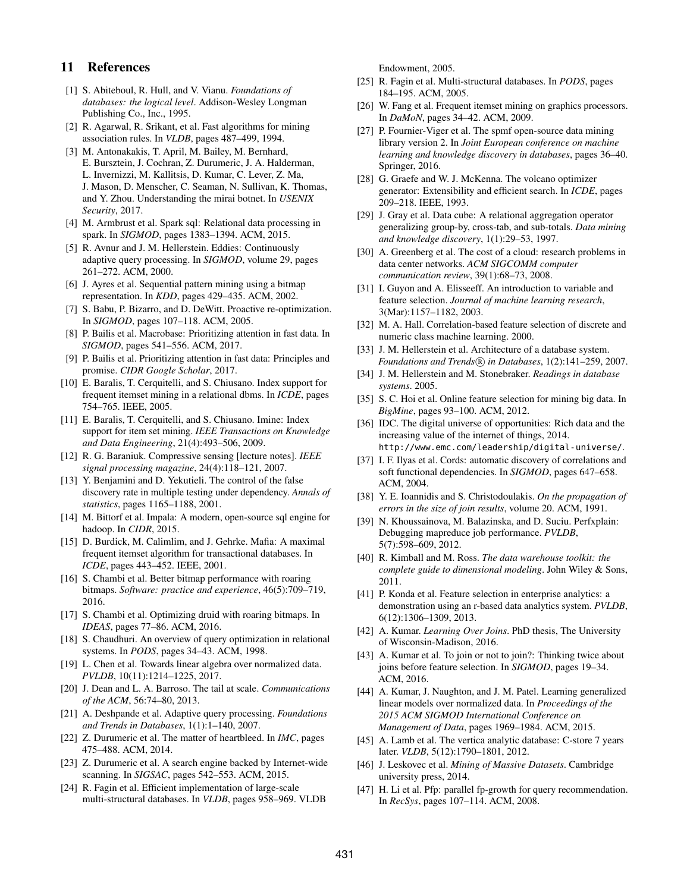# 11 References

- <span id="page-12-17"></span>[1] S. Abiteboul, R. Hull, and V. Vianu. *Foundations of databases: the logical level*. Addison-Wesley Longman Publishing Co., Inc., 1995.
- <span id="page-12-5"></span>[2] R. Agarwal, R. Srikant, et al. Fast algorithms for mining association rules. In *VLDB*, pages 487–499, 1994.
- <span id="page-12-11"></span>[3] M. Antonakakis, T. April, M. Bailey, M. Bernhard, E. Bursztein, J. Cochran, Z. Durumeric, J. A. Halderman, L. Invernizzi, M. Kallitsis, D. Kumar, C. Lever, Z. Ma, J. Mason, D. Menscher, C. Seaman, N. Sullivan, K. Thomas, and Y. Zhou. Understanding the mirai botnet. In *USENIX Security*, 2017.
- <span id="page-12-27"></span>[4] M. Armbrust et al. Spark sql: Relational data processing in spark. In *SIGMOD*, pages 1383–1394. ACM, 2015.
- <span id="page-12-20"></span>[5] R. Avnur and J. M. Hellerstein. Eddies: Continuously adaptive query processing. In *SIGMOD*, volume 29, pages 261–272. ACM, 2000.
- <span id="page-12-24"></span>[6] J. Ayres et al. Sequential pattern mining using a bitmap representation. In *KDD*, pages 429–435. ACM, 2002.
- <span id="page-12-21"></span>[7] S. Babu, P. Bizarro, and D. DeWitt. Proactive re-optimization. In *SIGMOD*, pages 107–118. ACM, 2005.
- <span id="page-12-1"></span>[8] P. Bailis et al. Macrobase: Prioritizing attention in fast data. In *SIGMOD*, pages 541–556. ACM, 2017.
- <span id="page-12-0"></span>[9] P. Bailis et al. Prioritizing attention in fast data: Principles and promise. *CIDR Google Scholar*, 2017.
- <span id="page-12-35"></span>[10] E. Baralis, T. Cerquitelli, and S. Chiusano. Index support for frequent itemset mining in a relational dbms. In *ICDE*, pages 754–765. IEEE, 2005.
- <span id="page-12-36"></span>[11] E. Baralis, T. Cerquitelli, and S. Chiusano. Imine: Index support for item set mining. *IEEE Transactions on Knowledge and Data Engineering*, 21(4):493–506, 2009.
- <span id="page-12-32"></span>[12] R. G. Baraniuk. Compressive sensing [lecture notes]. *IEEE signal processing magazine*, 24(4):118–121, 2007.
- <span id="page-12-34"></span>[13] Y. Benjamini and D. Yekutieli. The control of the false discovery rate in multiple testing under dependency. *Annals of statistics*, pages 1165–1188, 2001.
- <span id="page-12-42"></span>[14] M. Bittorf et al. Impala: A modern, open-source sql engine for hadoop. In *CIDR*, 2015.
- <span id="page-12-23"></span>[15] D. Burdick, M. Calimlim, and J. Gehrke. Mafia: A maximal frequent itemset algorithm for transactional databases. In *ICDE*, pages 443–452. IEEE, 2001.
- <span id="page-12-26"></span>[16] S. Chambi et al. Better bitmap performance with roaring bitmaps. *Software: practice and experience*, 46(5):709–719, 2016.
- <span id="page-12-41"></span>[17] S. Chambi et al. Optimizing druid with roaring bitmaps. In *IDEAS*, pages 77–86. ACM, 2016.
- <span id="page-12-37"></span>[18] S. Chaudhuri. An overview of query optimization in relational systems. In *PODS*, pages 34–43. ACM, 1998.
- <span id="page-12-43"></span>[19] L. Chen et al. Towards linear algebra over normalized data. *PVLDB*, 10(11):1214–1225, 2017.
- <span id="page-12-7"></span>[20] J. Dean and L. A. Barroso. The tail at scale. *Communications of the ACM*, 56:74–80, 2013.
- <span id="page-12-19"></span>[21] A. Deshpande et al. Adaptive query processing. *Foundations and Trends in Databases*, 1(1):1–140, 2007.
- <span id="page-12-10"></span>[22] Z. Durumeric et al. The matter of heartbleed. In *IMC*, pages 475–488. ACM, 2014.
- <span id="page-12-9"></span>[23] Z. Durumeric et al. A search engine backed by Internet-wide scanning. In *SIGSAC*, pages 542–553. ACM, 2015.
- <span id="page-12-14"></span>[24] R. Fagin et al. Efficient implementation of large-scale multi-structural databases. In *VLDB*, pages 958–969. VLDB

Endowment, 2005.

- <span id="page-12-15"></span>[25] R. Fagin et al. Multi-structural databases. In *PODS*, pages 184–195. ACM, 2005.
- <span id="page-12-25"></span>[26] W. Fang et al. Frequent itemset mining on graphics processors. In *DaMoN*, pages 34–42. ACM, 2009.
- <span id="page-12-13"></span>[27] P. Fournier-Viger et al. The spmf open-source data mining library version 2. In *Joint European conference on machine learning and knowledge discovery in databases*, pages 36–40. Springer, 2016.
- <span id="page-12-38"></span>[28] G. Graefe and W. J. McKenna. The volcano optimizer generator: Extensibility and efficient search. In *ICDE*, pages 209–218. IEEE, 1993.
- <span id="page-12-12"></span>[29] J. Gray et al. Data cube: A relational aggregation operator generalizing group-by, cross-tab, and sub-totals. *Data mining and knowledge discovery*, 1(1):29–53, 1997.
- <span id="page-12-8"></span>[30] A. Greenberg et al. The cost of a cloud: research problems in data center networks. *ACM SIGCOMM computer communication review*, 39(1):68–73, 2008.
- <span id="page-12-2"></span>[31] I. Guyon and A. Elisseeff. An introduction to variable and feature selection. *Journal of machine learning research*, 3(Mar):1157–1182, 2003.
- <span id="page-12-33"></span>[32] M. A. Hall. Correlation-based feature selection of discrete and numeric class machine learning. 2000.
- <span id="page-12-39"></span>[33] J. M. Hellerstein et al. Architecture of a database system. *Foundations and Trends* (*R*) *in Databases*, 1(2):141–259, 2007.
- <span id="page-12-40"></span>[34] J. M. Hellerstein and M. Stonebraker. *Readings in database systems*. 2005.
- <span id="page-12-30"></span>[35] S. C. Hoi et al. Online feature selection for mining big data. In *BigMine*, pages 93–100. ACM, 2012.
- <span id="page-12-6"></span>[36] IDC. The digital universe of opportunities: Rich data and the increasing value of the internet of things, 2014. <http://www.emc.com/leadership/digital-universe/>.
- <span id="page-12-46"></span>[37] I. F. Ilyas et al. Cords: automatic discovery of correlations and soft functional dependencies. In *SIGMOD*, pages 647–658. ACM, 2004.
- <span id="page-12-18"></span>[38] Y. E. Ioannidis and S. Christodoulakis. *On the propagation of errors in the size of join results*, volume 20. ACM, 1991.
- <span id="page-12-29"></span>[39] N. Khoussainova, M. Balazinska, and D. Suciu. Perfxplain: Debugging mapreduce job performance. *PVLDB*, 5(7):598–609, 2012.
- <span id="page-12-3"></span>[40] R. Kimball and M. Ross. *The data warehouse toolkit: the complete guide to dimensional modeling*. John Wiley & Sons, 2011.
- <span id="page-12-31"></span>[41] P. Konda et al. Feature selection in enterprise analytics: a demonstration using an r-based data analytics system. *PVLDB*, 6(12):1306–1309, 2013.
- <span id="page-12-4"></span>[42] A. Kumar. *Learning Over Joins*. PhD thesis, The University of Wisconsin-Madison, 2016.
- <span id="page-12-45"></span>[43] A. Kumar et al. To join or not to join?: Thinking twice about joins before feature selection. In *SIGMOD*, pages 19–34. ACM, 2016.
- <span id="page-12-44"></span>[44] A. Kumar, J. Naughton, and J. M. Patel. Learning generalized linear models over normalized data. In *Proceedings of the 2015 ACM SIGMOD International Conference on Management of Data*, pages 1969–1984. ACM, 2015.
- <span id="page-12-22"></span>[45] A. Lamb et al. The vertica analytic database: C-store 7 years later. *VLDB*, 5(12):1790–1801, 2012.
- <span id="page-12-16"></span>[46] J. Leskovec et al. *Mining of Massive Datasets*. Cambridge university press, 2014.
- <span id="page-12-28"></span>[47] H. Li et al. Pfp: parallel fp-growth for query recommendation. In *RecSys*, pages 107–114. ACM, 2008.